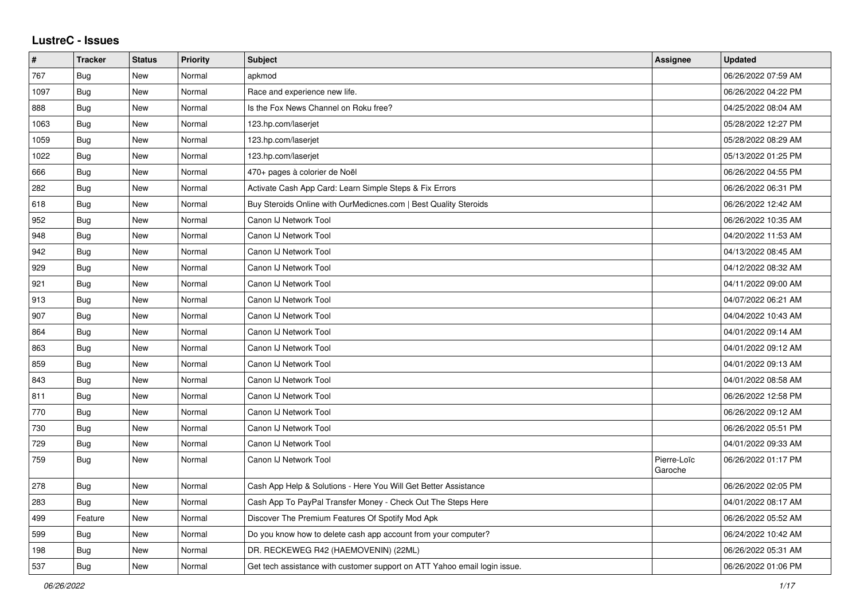## **LustreC - Issues**

| $\pmb{\#}$ | <b>Tracker</b> | <b>Status</b> | Priority | <b>Subject</b>                                                            | <b>Assignee</b>        | <b>Updated</b>      |
|------------|----------------|---------------|----------|---------------------------------------------------------------------------|------------------------|---------------------|
| 767        | <b>Bug</b>     | <b>New</b>    | Normal   | apkmod                                                                    |                        | 06/26/2022 07:59 AM |
| 1097       | Bug            | New           | Normal   | Race and experience new life.                                             |                        | 06/26/2022 04:22 PM |
| 888        | Bug            | <b>New</b>    | Normal   | Is the Fox News Channel on Roku free?                                     |                        | 04/25/2022 08:04 AM |
| 1063       | <b>Bug</b>     | New           | Normal   | 123.hp.com/laserjet                                                       |                        | 05/28/2022 12:27 PM |
| 1059       | Bug            | <b>New</b>    | Normal   | 123.hp.com/laserjet                                                       |                        | 05/28/2022 08:29 AM |
| 1022       | <b>Bug</b>     | <b>New</b>    | Normal   | 123.hp.com/laserjet                                                       |                        | 05/13/2022 01:25 PM |
| 666        | Bug            | <b>New</b>    | Normal   | 470+ pages à colorier de Noël                                             |                        | 06/26/2022 04:55 PM |
| 282        | Bug            | <b>New</b>    | Normal   | Activate Cash App Card: Learn Simple Steps & Fix Errors                   |                        | 06/26/2022 06:31 PM |
| 618        | <b>Bug</b>     | <b>New</b>    | Normal   | Buy Steroids Online with OurMedicnes.com   Best Quality Steroids          |                        | 06/26/2022 12:42 AM |
| 952        | Bug            | <b>New</b>    | Normal   | Canon IJ Network Tool                                                     |                        | 06/26/2022 10:35 AM |
| 948        | <b>Bug</b>     | <b>New</b>    | Normal   | Canon IJ Network Tool                                                     |                        | 04/20/2022 11:53 AM |
| 942        | <b>Bug</b>     | <b>New</b>    | Normal   | Canon IJ Network Tool                                                     |                        | 04/13/2022 08:45 AM |
| 929        | <b>Bug</b>     | New           | Normal   | Canon IJ Network Tool                                                     |                        | 04/12/2022 08:32 AM |
| 921        | Bug            | <b>New</b>    | Normal   | Canon IJ Network Tool                                                     |                        | 04/11/2022 09:00 AM |
| 913        | Bug            | <b>New</b>    | Normal   | Canon IJ Network Tool                                                     |                        | 04/07/2022 06:21 AM |
| 907        | <b>Bug</b>     | <b>New</b>    | Normal   | Canon IJ Network Tool                                                     |                        | 04/04/2022 10:43 AM |
| 864        | <b>Bug</b>     | New           | Normal   | Canon IJ Network Tool                                                     |                        | 04/01/2022 09:14 AM |
| 863        | Bug            | <b>New</b>    | Normal   | Canon IJ Network Tool                                                     |                        | 04/01/2022 09:12 AM |
| 859        | Bug            | <b>New</b>    | Normal   | Canon IJ Network Tool                                                     |                        | 04/01/2022 09:13 AM |
| 843        | <b>Bug</b>     | <b>New</b>    | Normal   | Canon IJ Network Tool                                                     |                        | 04/01/2022 08:58 AM |
| 811        | Bug            | <b>New</b>    | Normal   | Canon IJ Network Tool                                                     |                        | 06/26/2022 12:58 PM |
| 770        | Bug            | New           | Normal   | Canon IJ Network Tool                                                     |                        | 06/26/2022 09:12 AM |
| 730        | <b>Bug</b>     | <b>New</b>    | Normal   | Canon IJ Network Tool                                                     |                        | 06/26/2022 05:51 PM |
| 729        | <b>Bug</b>     | <b>New</b>    | Normal   | Canon IJ Network Tool                                                     |                        | 04/01/2022 09:33 AM |
| 759        | <b>Bug</b>     | <b>New</b>    | Normal   | Canon IJ Network Tool                                                     | Pierre-Loïc<br>Garoche | 06/26/2022 01:17 PM |
| 278        | Bug            | New           | Normal   | Cash App Help & Solutions - Here You Will Get Better Assistance           |                        | 06/26/2022 02:05 PM |
| 283        | Bug            | <b>New</b>    | Normal   | Cash App To PayPal Transfer Money - Check Out The Steps Here              |                        | 04/01/2022 08:17 AM |
| 499        | Feature        | New           | Normal   | Discover The Premium Features Of Spotify Mod Apk                          |                        | 06/26/2022 05:52 AM |
| 599        | Bug            | <b>New</b>    | Normal   | Do you know how to delete cash app account from your computer?            |                        | 06/24/2022 10:42 AM |
| 198        | Bug            | <b>New</b>    | Normal   | DR. RECKEWEG R42 (HAEMOVENIN) (22ML)                                      |                        | 06/26/2022 05:31 AM |
| 537        | <b>Bug</b>     | New           | Normal   | Get tech assistance with customer support on ATT Yahoo email login issue. |                        | 06/26/2022 01:06 PM |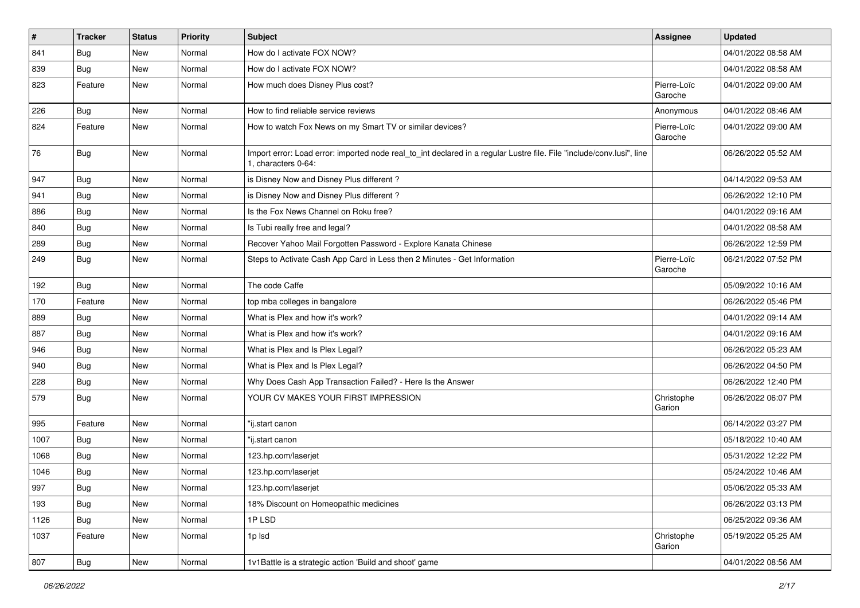| $\vert$ # | <b>Tracker</b> | <b>Status</b> | <b>Priority</b> | Subject                                                                                                                                      | <b>Assignee</b>        | <b>Updated</b>      |
|-----------|----------------|---------------|-----------------|----------------------------------------------------------------------------------------------------------------------------------------------|------------------------|---------------------|
| 841       | <b>Bug</b>     | New           | Normal          | How do I activate FOX NOW?                                                                                                                   |                        | 04/01/2022 08:58 AM |
| 839       | Bug            | New           | Normal          | How do I activate FOX NOW?                                                                                                                   |                        | 04/01/2022 08:58 AM |
| 823       | Feature        | New           | Normal          | How much does Disney Plus cost?                                                                                                              | Pierre-Loïc<br>Garoche | 04/01/2022 09:00 AM |
| 226       | Bug            | New           | Normal          | How to find reliable service reviews                                                                                                         | Anonymous              | 04/01/2022 08:46 AM |
| 824       | Feature        | New           | Normal          | How to watch Fox News on my Smart TV or similar devices?                                                                                     | Pierre-Loïc<br>Garoche | 04/01/2022 09:00 AM |
| 76        | Bug            | New           | Normal          | Import error: Load error: imported node real_to_int declared in a regular Lustre file. File "include/conv.lusi", line<br>1, characters 0-64: |                        | 06/26/2022 05:52 AM |
| 947       | Bug            | New           | Normal          | is Disney Now and Disney Plus different?                                                                                                     |                        | 04/14/2022 09:53 AM |
| 941       | Bug            | New           | Normal          | is Disney Now and Disney Plus different?                                                                                                     |                        | 06/26/2022 12:10 PM |
| 886       | <b>Bug</b>     | New           | Normal          | Is the Fox News Channel on Roku free?                                                                                                        |                        | 04/01/2022 09:16 AM |
| 840       | Bug            | New           | Normal          | Is Tubi really free and legal?                                                                                                               |                        | 04/01/2022 08:58 AM |
| 289       | <b>Bug</b>     | New           | Normal          | Recover Yahoo Mail Forgotten Password - Explore Kanata Chinese                                                                               |                        | 06/26/2022 12:59 PM |
| 249       | <b>Bug</b>     | New           | Normal          | Steps to Activate Cash App Card in Less then 2 Minutes - Get Information                                                                     | Pierre-Loïc<br>Garoche | 06/21/2022 07:52 PM |
| 192       | <b>Bug</b>     | New           | Normal          | The code Caffe                                                                                                                               |                        | 05/09/2022 10:16 AM |
| 170       | Feature        | New           | Normal          | top mba colleges in bangalore                                                                                                                |                        | 06/26/2022 05:46 PM |
| 889       | <b>Bug</b>     | New           | Normal          | What is Plex and how it's work?                                                                                                              |                        | 04/01/2022 09:14 AM |
| 887       | Bug            | New           | Normal          | What is Plex and how it's work?                                                                                                              |                        | 04/01/2022 09:16 AM |
| 946       | Bug            | New           | Normal          | What is Plex and Is Plex Legal?                                                                                                              |                        | 06/26/2022 05:23 AM |
| 940       | <b>Bug</b>     | New           | Normal          | What is Plex and Is Plex Legal?                                                                                                              |                        | 06/26/2022 04:50 PM |
| 228       | Bug            | New           | Normal          | Why Does Cash App Transaction Failed? - Here Is the Answer                                                                                   |                        | 06/26/2022 12:40 PM |
| 579       | Bug            | New           | Normal          | YOUR CV MAKES YOUR FIRST IMPRESSION                                                                                                          | Christophe<br>Garion   | 06/26/2022 06:07 PM |
| 995       | Feature        | New           | Normal          | "ij.start canon                                                                                                                              |                        | 06/14/2022 03:27 PM |
| 1007      | Bug            | New           | Normal          | 'ij.start canon                                                                                                                              |                        | 05/18/2022 10:40 AM |
| 1068      | Bug            | New           | Normal          | 123.hp.com/laserjet                                                                                                                          |                        | 05/31/2022 12:22 PM |
| 1046      | Bug            | New           | Normal          | 123.hp.com/laserjet                                                                                                                          |                        | 05/24/2022 10:46 AM |
| 997       | Bug            | New           | Normal          | 123.hp.com/laserjet                                                                                                                          |                        | 05/06/2022 05:33 AM |
| 193       | Bug            | New           | Normal          | 18% Discount on Homeopathic medicines                                                                                                        |                        | 06/26/2022 03:13 PM |
| 1126      | Bug            | New           | Normal          | 1PLSD                                                                                                                                        |                        | 06/25/2022 09:36 AM |
| 1037      | Feature        | New           | Normal          | 1p lsd                                                                                                                                       | Christophe<br>Garion   | 05/19/2022 05:25 AM |
| 807       | Bug            | New           | Normal          | 1v1Battle is a strategic action 'Build and shoot' game                                                                                       |                        | 04/01/2022 08:56 AM |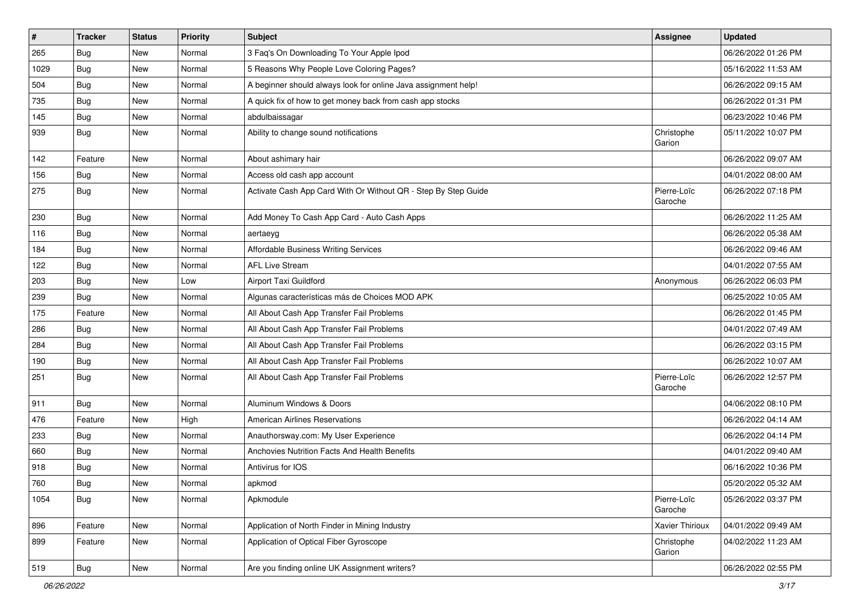| $\vert$ # | <b>Tracker</b> | <b>Status</b> | Priority | Subject                                                        | <b>Assignee</b>        | <b>Updated</b>      |
|-----------|----------------|---------------|----------|----------------------------------------------------------------|------------------------|---------------------|
| 265       | <b>Bug</b>     | New           | Normal   | 3 Faq's On Downloading To Your Apple Ipod                      |                        | 06/26/2022 01:26 PM |
| 1029      | Bug            | New           | Normal   | 5 Reasons Why People Love Coloring Pages?                      |                        | 05/16/2022 11:53 AM |
| 504       | Bug            | New           | Normal   | A beginner should always look for online Java assignment help! |                        | 06/26/2022 09:15 AM |
| 735       | <b>Bug</b>     | New           | Normal   | A quick fix of how to get money back from cash app stocks      |                        | 06/26/2022 01:31 PM |
| 145       | Bug            | New           | Normal   | abdulbaissagar                                                 |                        | 06/23/2022 10:46 PM |
| 939       | Bug            | New           | Normal   | Ability to change sound notifications                          | Christophe<br>Garion   | 05/11/2022 10:07 PM |
| 142       | Feature        | New           | Normal   | About ashimary hair                                            |                        | 06/26/2022 09:07 AM |
| 156       | <b>Bug</b>     | New           | Normal   | Access old cash app account                                    |                        | 04/01/2022 08:00 AM |
| 275       | Bug            | New           | Normal   | Activate Cash App Card With Or Without QR - Step By Step Guide | Pierre-Loïc<br>Garoche | 06/26/2022 07:18 PM |
| 230       | Bug            | New           | Normal   | Add Money To Cash App Card - Auto Cash Apps                    |                        | 06/26/2022 11:25 AM |
| 116       | Bug            | New           | Normal   | aertaeyg                                                       |                        | 06/26/2022 05:38 AM |
| 184       | <b>Bug</b>     | New           | Normal   | Affordable Business Writing Services                           |                        | 06/26/2022 09:46 AM |
| 122       | <b>Bug</b>     | New           | Normal   | <b>AFL Live Stream</b>                                         |                        | 04/01/2022 07:55 AM |
| 203       | <b>Bug</b>     | New           | Low      | Airport Taxi Guildford                                         | Anonymous              | 06/26/2022 06:03 PM |
| 239       | <b>Bug</b>     | New           | Normal   | Algunas características más de Choices MOD APK                 |                        | 06/25/2022 10:05 AM |
| 175       | Feature        | New           | Normal   | All About Cash App Transfer Fail Problems                      |                        | 06/26/2022 01:45 PM |
| 286       | <b>Bug</b>     | New           | Normal   | All About Cash App Transfer Fail Problems                      |                        | 04/01/2022 07:49 AM |
| 284       | Bug            | New           | Normal   | All About Cash App Transfer Fail Problems                      |                        | 06/26/2022 03:15 PM |
| 190       | Bug            | New           | Normal   | All About Cash App Transfer Fail Problems                      |                        | 06/26/2022 10:07 AM |
| 251       | <b>Bug</b>     | New           | Normal   | All About Cash App Transfer Fail Problems                      | Pierre-Loïc<br>Garoche | 06/26/2022 12:57 PM |
| 911       | Bug            | New           | Normal   | Aluminum Windows & Doors                                       |                        | 04/06/2022 08:10 PM |
| 476       | Feature        | New           | High     | <b>American Airlines Reservations</b>                          |                        | 06/26/2022 04:14 AM |
| 233       | Bug            | New           | Normal   | Anauthorsway.com: My User Experience                           |                        | 06/26/2022 04:14 PM |
| 660       | Bug            | New           | Normal   | Anchovies Nutrition Facts And Health Benefits                  |                        | 04/01/2022 09:40 AM |
| 918       | <b>Bug</b>     | New           | Normal   | Antivirus for IOS                                              |                        | 06/16/2022 10:36 PM |
| 760       | Bug            | New           | Normal   | apkmod                                                         |                        | 05/20/2022 05:32 AM |
| 1054      | <b>Bug</b>     | New           | Normal   | Apkmodule                                                      | Pierre-Loïc<br>Garoche | 05/26/2022 03:37 PM |
| 896       | Feature        | New           | Normal   | Application of North Finder in Mining Industry                 | Xavier Thirioux        | 04/01/2022 09:49 AM |
| 899       | Feature        | New           | Normal   | Application of Optical Fiber Gyroscope                         | Christophe<br>Garion   | 04/02/2022 11:23 AM |
| 519       | Bug            | New           | Normal   | Are you finding online UK Assignment writers?                  |                        | 06/26/2022 02:55 PM |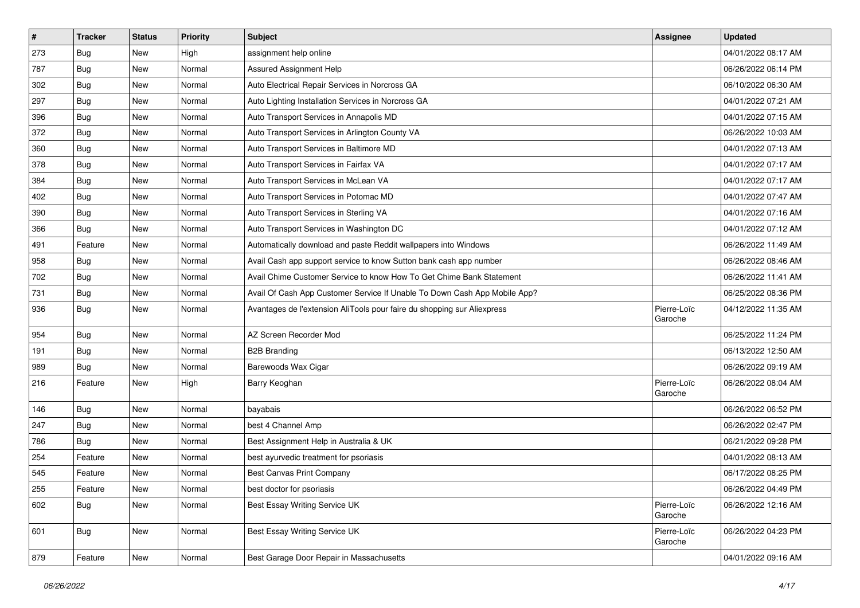| $\sharp$ | <b>Tracker</b> | <b>Status</b> | <b>Priority</b> | Subject                                                                   | <b>Assignee</b>        | <b>Updated</b>      |
|----------|----------------|---------------|-----------------|---------------------------------------------------------------------------|------------------------|---------------------|
| 273      | Bug            | New           | High            | assignment help online                                                    |                        | 04/01/2022 08:17 AM |
| 787      | Bug            | <b>New</b>    | Normal          | <b>Assured Assignment Help</b>                                            |                        | 06/26/2022 06:14 PM |
| 302      | Bug            | New           | Normal          | Auto Electrical Repair Services in Norcross GA                            |                        | 06/10/2022 06:30 AM |
| 297      | Bug            | New           | Normal          | Auto Lighting Installation Services in Norcross GA                        |                        | 04/01/2022 07:21 AM |
| 396      | Bug            | New           | Normal          | Auto Transport Services in Annapolis MD                                   |                        | 04/01/2022 07:15 AM |
| 372      | Bug            | New           | Normal          | Auto Transport Services in Arlington County VA                            |                        | 06/26/2022 10:03 AM |
| 360      | Bug            | New           | Normal          | Auto Transport Services in Baltimore MD                                   |                        | 04/01/2022 07:13 AM |
| 378      | <b>Bug</b>     | New           | Normal          | Auto Transport Services in Fairfax VA                                     |                        | 04/01/2022 07:17 AM |
| 384      | <b>Bug</b>     | New           | Normal          | Auto Transport Services in McLean VA                                      |                        | 04/01/2022 07:17 AM |
| 402      | Bug            | New           | Normal          | Auto Transport Services in Potomac MD                                     |                        | 04/01/2022 07:47 AM |
| 390      | <b>Bug</b>     | New           | Normal          | Auto Transport Services in Sterling VA                                    |                        | 04/01/2022 07:16 AM |
| 366      | Bug            | New           | Normal          | Auto Transport Services in Washington DC                                  |                        | 04/01/2022 07:12 AM |
| 491      | Feature        | New           | Normal          | Automatically download and paste Reddit wallpapers into Windows           |                        | 06/26/2022 11:49 AM |
| 958      | <b>Bug</b>     | New           | Normal          | Avail Cash app support service to know Sutton bank cash app number        |                        | 06/26/2022 08:46 AM |
| 702      | Bug            | New           | Normal          | Avail Chime Customer Service to know How To Get Chime Bank Statement      |                        | 06/26/2022 11:41 AM |
| 731      | Bug            | New           | Normal          | Avail Of Cash App Customer Service If Unable To Down Cash App Mobile App? |                        | 06/25/2022 08:36 PM |
| 936      | <b>Bug</b>     | New           | Normal          | Avantages de l'extension AliTools pour faire du shopping sur Aliexpress   | Pierre-Loïc<br>Garoche | 04/12/2022 11:35 AM |
| 954      | Bug            | New           | Normal          | AZ Screen Recorder Mod                                                    |                        | 06/25/2022 11:24 PM |
| 191      | Bug            | New           | Normal          | <b>B2B Branding</b>                                                       |                        | 06/13/2022 12:50 AM |
| 989      | Bug            | New           | Normal          | Barewoods Wax Cigar                                                       |                        | 06/26/2022 09:19 AM |
| 216      | Feature        | New           | High            | Barry Keoghan                                                             | Pierre-Loïc<br>Garoche | 06/26/2022 08:04 AM |
| 146      | <b>Bug</b>     | New           | Normal          | bayabais                                                                  |                        | 06/26/2022 06:52 PM |
| 247      | Bug            | New           | Normal          | best 4 Channel Amp                                                        |                        | 06/26/2022 02:47 PM |
| 786      | Bug            | New           | Normal          | Best Assignment Help in Australia & UK                                    |                        | 06/21/2022 09:28 PM |
| 254      | Feature        | New           | Normal          | best ayurvedic treatment for psoriasis                                    |                        | 04/01/2022 08:13 AM |
| 545      | Feature        | <b>New</b>    | Normal          | <b>Best Canvas Print Company</b>                                          |                        | 06/17/2022 08:25 PM |
| 255      | Feature        | New           | Normal          | best doctor for psoriasis                                                 |                        | 06/26/2022 04:49 PM |
| 602      | <b>Bug</b>     | New           | Normal          | Best Essay Writing Service UK                                             | Pierre-Loïc<br>Garoche | 06/26/2022 12:16 AM |
| 601      | <b>Bug</b>     | New           | Normal          | Best Essay Writing Service UK                                             | Pierre-Loïc<br>Garoche | 06/26/2022 04:23 PM |
| 879      | Feature        | New           | Normal          | Best Garage Door Repair in Massachusetts                                  |                        | 04/01/2022 09:16 AM |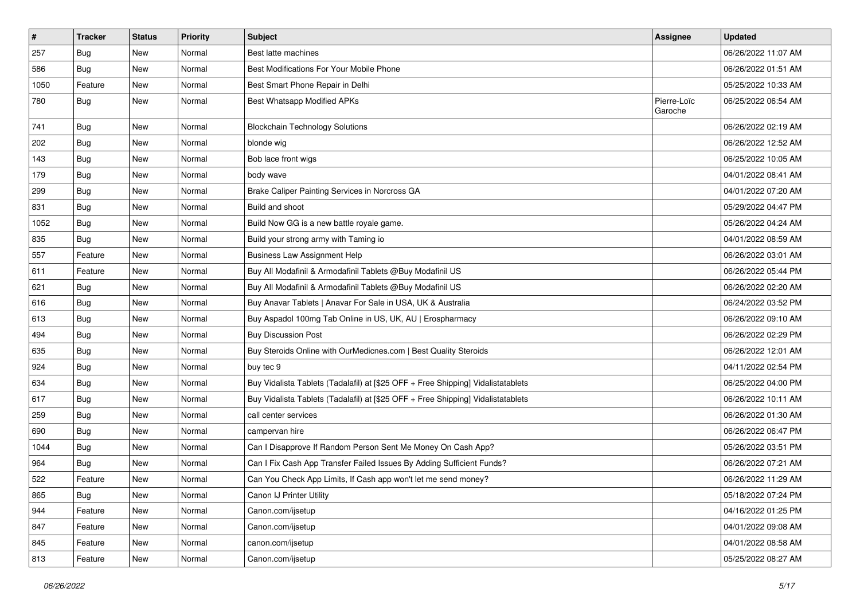| #    | <b>Tracker</b> | <b>Status</b> | <b>Priority</b> | <b>Subject</b>                                                                   | <b>Assignee</b>        | <b>Updated</b>      |
|------|----------------|---------------|-----------------|----------------------------------------------------------------------------------|------------------------|---------------------|
| 257  | Bug            | New           | Normal          | Best latte machines                                                              |                        | 06/26/2022 11:07 AM |
| 586  | <b>Bug</b>     | <b>New</b>    | Normal          | Best Modifications For Your Mobile Phone                                         |                        | 06/26/2022 01:51 AM |
| 1050 | Feature        | New           | Normal          | Best Smart Phone Repair in Delhi                                                 |                        | 05/25/2022 10:33 AM |
| 780  | Bug            | New           | Normal          | Best Whatsapp Modified APKs                                                      | Pierre-Loïc<br>Garoche | 06/25/2022 06:54 AM |
| 741  | <b>Bug</b>     | New           | Normal          | <b>Blockchain Technology Solutions</b>                                           |                        | 06/26/2022 02:19 AM |
| 202  | Bug            | New           | Normal          | blonde wig                                                                       |                        | 06/26/2022 12:52 AM |
| 143  | Bug            | New           | Normal          | Bob lace front wigs                                                              |                        | 06/25/2022 10:05 AM |
| 179  | Bug            | New           | Normal          | body wave                                                                        |                        | 04/01/2022 08:41 AM |
| 299  | Bug            | New           | Normal          | Brake Caliper Painting Services in Norcross GA                                   |                        | 04/01/2022 07:20 AM |
| 831  | Bug            | New           | Normal          | Build and shoot                                                                  |                        | 05/29/2022 04:47 PM |
| 1052 | Bug            | New           | Normal          | Build Now GG is a new battle royale game.                                        |                        | 05/26/2022 04:24 AM |
| 835  | <b>Bug</b>     | New           | Normal          | Build your strong army with Taming io                                            |                        | 04/01/2022 08:59 AM |
| 557  | Feature        | New           | Normal          | <b>Business Law Assignment Help</b>                                              |                        | 06/26/2022 03:01 AM |
| 611  | Feature        | New           | Normal          | Buy All Modafinil & Armodafinil Tablets @Buy Modafinil US                        |                        | 06/26/2022 05:44 PM |
| 621  | Bug            | New           | Normal          | Buy All Modafinil & Armodafinil Tablets @Buy Modafinil US                        |                        | 06/26/2022 02:20 AM |
| 616  | Bug            | New           | Normal          | Buy Anavar Tablets   Anavar For Sale in USA, UK & Australia                      |                        | 06/24/2022 03:52 PM |
| 613  | Bug            | New           | Normal          | Buy Aspadol 100mg Tab Online in US, UK, AU   Erospharmacy                        |                        | 06/26/2022 09:10 AM |
| 494  | Bug            | New           | Normal          | <b>Buy Discussion Post</b>                                                       |                        | 06/26/2022 02:29 PM |
| 635  | Bug            | New           | Normal          | Buy Steroids Online with OurMedicnes.com   Best Quality Steroids                 |                        | 06/26/2022 12:01 AM |
| 924  | Bug            | New           | Normal          | buy tec 9                                                                        |                        | 04/11/2022 02:54 PM |
| 634  | <b>Bug</b>     | New           | Normal          | Buy Vidalista Tablets (Tadalafil) at [\$25 OFF + Free Shipping] Vidalistatablets |                        | 06/25/2022 04:00 PM |
| 617  | Bug            | New           | Normal          | Buy Vidalista Tablets (Tadalafil) at [\$25 OFF + Free Shipping] Vidalistatablets |                        | 06/26/2022 10:11 AM |
| 259  | <b>Bug</b>     | New           | Normal          | call center services                                                             |                        | 06/26/2022 01:30 AM |
| 690  | Bug            | New           | Normal          | campervan hire                                                                   |                        | 06/26/2022 06:47 PM |
| 1044 | <b>Bug</b>     | New           | Normal          | Can I Disapprove If Random Person Sent Me Money On Cash App?                     |                        | 05/26/2022 03:51 PM |
| 964  | Bug            | New           | Normal          | Can I Fix Cash App Transfer Failed Issues By Adding Sufficient Funds?            |                        | 06/26/2022 07:21 AM |
| 522  | Feature        | New           | Normal          | Can You Check App Limits, If Cash app won't let me send money?                   |                        | 06/26/2022 11:29 AM |
| 865  | i Bug          | New           | Normal          | Canon IJ Printer Utility                                                         |                        | 05/18/2022 07:24 PM |
| 944  | Feature        | New           | Normal          | Canon.com/ijsetup                                                                |                        | 04/16/2022 01:25 PM |
| 847  | Feature        | New           | Normal          | Canon.com/ijsetup                                                                |                        | 04/01/2022 09:08 AM |
| 845  | Feature        | New           | Normal          | canon.com/ijsetup                                                                |                        | 04/01/2022 08:58 AM |
| 813  | Feature        | New           | Normal          | Canon.com/ijsetup                                                                |                        | 05/25/2022 08:27 AM |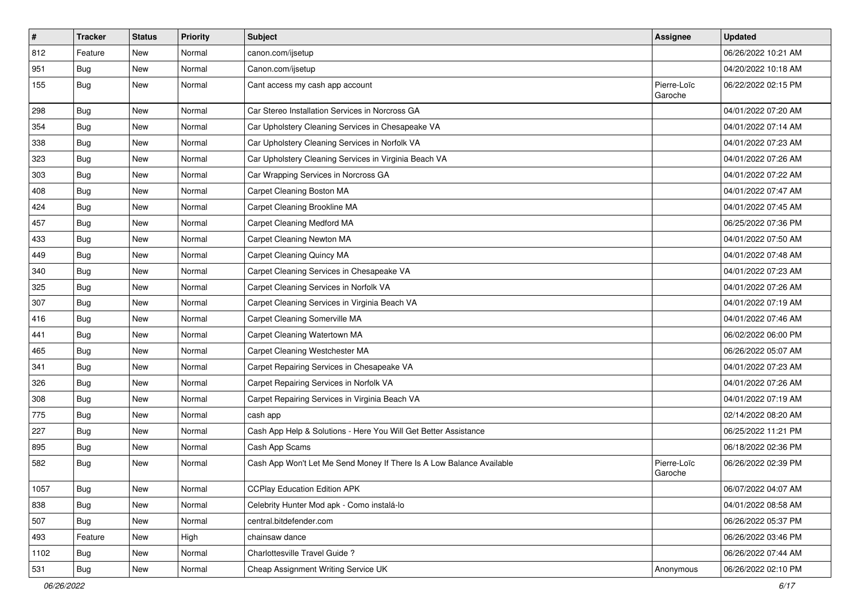| $\sharp$ | <b>Tracker</b> | <b>Status</b> | <b>Priority</b> | <b>Subject</b>                                                       | <b>Assignee</b>        | <b>Updated</b>      |
|----------|----------------|---------------|-----------------|----------------------------------------------------------------------|------------------------|---------------------|
| 812      | Feature        | New           | Normal          | canon.com/ijsetup                                                    |                        | 06/26/2022 10:21 AM |
| 951      | <b>Bug</b>     | New           | Normal          | Canon.com/ijsetup                                                    |                        | 04/20/2022 10:18 AM |
| 155      | Bug            | New           | Normal          | Cant access my cash app account                                      | Pierre-Loïc<br>Garoche | 06/22/2022 02:15 PM |
| 298      | Bug            | <b>New</b>    | Normal          | Car Stereo Installation Services in Norcross GA                      |                        | 04/01/2022 07:20 AM |
| 354      | <b>Bug</b>     | New           | Normal          | Car Upholstery Cleaning Services in Chesapeake VA                    |                        | 04/01/2022 07:14 AM |
| 338      | Bug            | New           | Normal          | Car Upholstery Cleaning Services in Norfolk VA                       |                        | 04/01/2022 07:23 AM |
| 323      | Bug            | New           | Normal          | Car Upholstery Cleaning Services in Virginia Beach VA                |                        | 04/01/2022 07:26 AM |
| 303      | <b>Bug</b>     | New           | Normal          | Car Wrapping Services in Norcross GA                                 |                        | 04/01/2022 07:22 AM |
| 408      | <b>Bug</b>     | <b>New</b>    | Normal          | Carpet Cleaning Boston MA                                            |                        | 04/01/2022 07:47 AM |
| 424      | Bug            | New           | Normal          | Carpet Cleaning Brookline MA                                         |                        | 04/01/2022 07:45 AM |
| 457      | <b>Bug</b>     | New           | Normal          | Carpet Cleaning Medford MA                                           |                        | 06/25/2022 07:36 PM |
| 433      | Bug            | New           | Normal          | Carpet Cleaning Newton MA                                            |                        | 04/01/2022 07:50 AM |
| 449      | Bug            | New           | Normal          | Carpet Cleaning Quincy MA                                            |                        | 04/01/2022 07:48 AM |
| 340      | <b>Bug</b>     | New           | Normal          | Carpet Cleaning Services in Chesapeake VA                            |                        | 04/01/2022 07:23 AM |
| 325      | <b>Bug</b>     | New           | Normal          | Carpet Cleaning Services in Norfolk VA                               |                        | 04/01/2022 07:26 AM |
| 307      | <b>Bug</b>     | <b>New</b>    | Normal          | Carpet Cleaning Services in Virginia Beach VA                        |                        | 04/01/2022 07:19 AM |
| 416      | Bug            | New           | Normal          | <b>Carpet Cleaning Somerville MA</b>                                 |                        | 04/01/2022 07:46 AM |
| 441      | <b>Bug</b>     | New           | Normal          | Carpet Cleaning Watertown MA                                         |                        | 06/02/2022 06:00 PM |
| 465      | Bug            | New           | Normal          | Carpet Cleaning Westchester MA                                       |                        | 06/26/2022 05:07 AM |
| 341      | Bug            | <b>New</b>    | Normal          | Carpet Repairing Services in Chesapeake VA                           |                        | 04/01/2022 07:23 AM |
| 326      | <b>Bug</b>     | New           | Normal          | Carpet Repairing Services in Norfolk VA                              |                        | 04/01/2022 07:26 AM |
| 308      | Bug            | New           | Normal          | Carpet Repairing Services in Virginia Beach VA                       |                        | 04/01/2022 07:19 AM |
| 775      | <b>Bug</b>     | New           | Normal          | cash app                                                             |                        | 02/14/2022 08:20 AM |
| 227      | Bug            | New           | Normal          | Cash App Help & Solutions - Here You Will Get Better Assistance      |                        | 06/25/2022 11:21 PM |
| 895      | <b>Bug</b>     | New           | Normal          | Cash App Scams                                                       |                        | 06/18/2022 02:36 PM |
| 582      | <b>Bug</b>     | New           | Normal          | Cash App Won't Let Me Send Money If There Is A Low Balance Available | Pierre-Loïc<br>Garoche | 06/26/2022 02:39 PM |
| 1057     | Bug            | New           | Normal          | <b>CCPlay Education Edition APK</b>                                  |                        | 06/07/2022 04:07 AM |
| 838      | Bug            | New           | Normal          | Celebrity Hunter Mod apk - Como instalá-lo                           |                        | 04/01/2022 08:58 AM |
| 507      | Bug            | New           | Normal          | central.bitdefender.com                                              |                        | 06/26/2022 05:37 PM |
| 493      | Feature        | New           | High            | chainsaw dance                                                       |                        | 06/26/2022 03:46 PM |
| 1102     | Bug            | New           | Normal          | Charlottesville Travel Guide?                                        |                        | 06/26/2022 07:44 AM |
| 531      | <b>Bug</b>     | New           | Normal          | Cheap Assignment Writing Service UK                                  | Anonymous              | 06/26/2022 02:10 PM |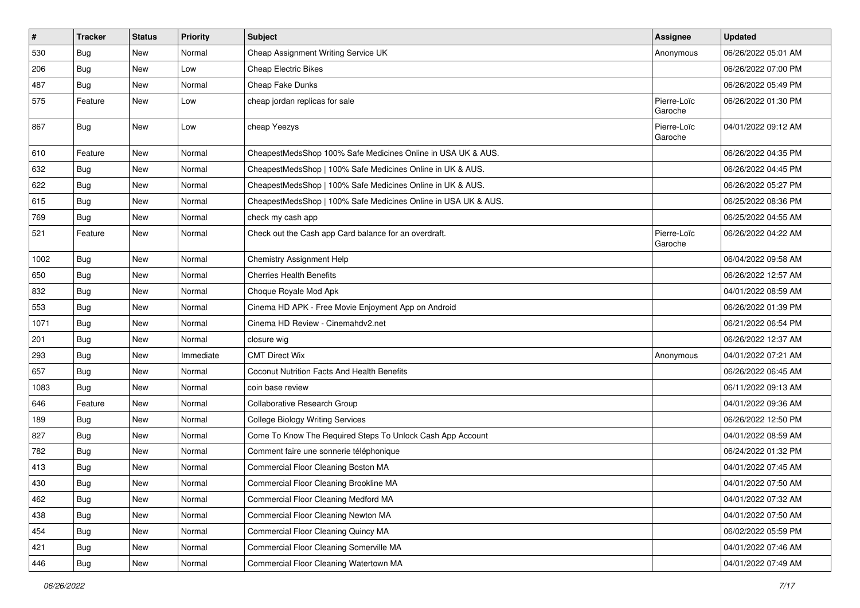| $\vert$ # | <b>Tracker</b> | <b>Status</b> | Priority  | Subject                                                        | Assignee               | <b>Updated</b>      |
|-----------|----------------|---------------|-----------|----------------------------------------------------------------|------------------------|---------------------|
| 530       | Bug            | New           | Normal    | Cheap Assignment Writing Service UK                            | Anonymous              | 06/26/2022 05:01 AM |
| 206       | Bug            | New           | Low       | <b>Cheap Electric Bikes</b>                                    |                        | 06/26/2022 07:00 PM |
| 487       | <b>Bug</b>     | New           | Normal    | Cheap Fake Dunks                                               |                        | 06/26/2022 05:49 PM |
| 575       | Feature        | New           | Low       | cheap jordan replicas for sale                                 | Pierre-Loïc<br>Garoche | 06/26/2022 01:30 PM |
| 867       | Bug            | New           | Low       | cheap Yeezys                                                   | Pierre-Loïc<br>Garoche | 04/01/2022 09:12 AM |
| 610       | Feature        | New           | Normal    | CheapestMedsShop 100% Safe Medicines Online in USA UK & AUS.   |                        | 06/26/2022 04:35 PM |
| 632       | Bug            | New           | Normal    | CheapestMedsShop   100% Safe Medicines Online in UK & AUS.     |                        | 06/26/2022 04:45 PM |
| 622       | <b>Bug</b>     | New           | Normal    | CheapestMedsShop   100% Safe Medicines Online in UK & AUS.     |                        | 06/26/2022 05:27 PM |
| 615       | <b>Bug</b>     | New           | Normal    | CheapestMedsShop   100% Safe Medicines Online in USA UK & AUS. |                        | 06/25/2022 08:36 PM |
| 769       | <b>Bug</b>     | New           | Normal    | check my cash app                                              |                        | 06/25/2022 04:55 AM |
| 521       | Feature        | New           | Normal    | Check out the Cash app Card balance for an overdraft.          | Pierre-Loïc<br>Garoche | 06/26/2022 04:22 AM |
| 1002      | Bug            | New           | Normal    | Chemistry Assignment Help                                      |                        | 06/04/2022 09:58 AM |
| 650       | Bug            | New           | Normal    | <b>Cherries Health Benefits</b>                                |                        | 06/26/2022 12:57 AM |
| 832       | <b>Bug</b>     | New           | Normal    | Choque Royale Mod Apk                                          |                        | 04/01/2022 08:59 AM |
| 553       | Bug            | New           | Normal    | Cinema HD APK - Free Movie Enjoyment App on Android            |                        | 06/26/2022 01:39 PM |
| 1071      | <b>Bug</b>     | New           | Normal    | Cinema HD Review - Cinemahdv2.net                              |                        | 06/21/2022 06:54 PM |
| 201       | Bug            | New           | Normal    | closure wig                                                    |                        | 06/26/2022 12:37 AM |
| 293       | Bug            | New           | Immediate | <b>CMT Direct Wix</b>                                          | Anonymous              | 04/01/2022 07:21 AM |
| 657       | <b>Bug</b>     | New           | Normal    | Coconut Nutrition Facts And Health Benefits                    |                        | 06/26/2022 06:45 AM |
| 1083      | Bug            | New           | Normal    | coin base review                                               |                        | 06/11/2022 09:13 AM |
| 646       | Feature        | New           | Normal    | Collaborative Research Group                                   |                        | 04/01/2022 09:36 AM |
| 189       | <b>Bug</b>     | New           | Normal    | <b>College Biology Writing Services</b>                        |                        | 06/26/2022 12:50 PM |
| 827       | <b>Bug</b>     | New           | Normal    | Come To Know The Required Steps To Unlock Cash App Account     |                        | 04/01/2022 08:59 AM |
| 782       | Bug            | New           | Normal    | Comment faire une sonnerie téléphonique                        |                        | 06/24/2022 01:32 PM |
| 413       | <b>Bug</b>     | New           | Normal    | Commercial Floor Cleaning Boston MA                            |                        | 04/01/2022 07:45 AM |
| 430       | Bug            | New           | Normal    | Commercial Floor Cleaning Brookline MA                         |                        | 04/01/2022 07:50 AM |
| 462       | <b>Bug</b>     | New           | Normal    | Commercial Floor Cleaning Medford MA                           |                        | 04/01/2022 07:32 AM |
| 438       | <b>Bug</b>     | New           | Normal    | Commercial Floor Cleaning Newton MA                            |                        | 04/01/2022 07:50 AM |
| 454       | <b>Bug</b>     | New           | Normal    | Commercial Floor Cleaning Quincy MA                            |                        | 06/02/2022 05:59 PM |
| 421       | Bug            | New           | Normal    | Commercial Floor Cleaning Somerville MA                        |                        | 04/01/2022 07:46 AM |
| 446       | <b>Bug</b>     | New           | Normal    | Commercial Floor Cleaning Watertown MA                         |                        | 04/01/2022 07:49 AM |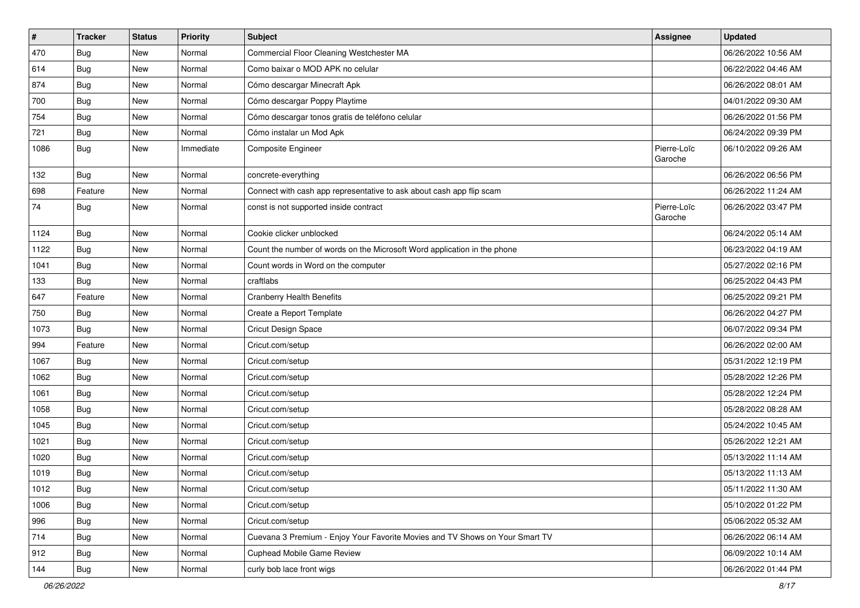| $\sharp$ | <b>Tracker</b> | <b>Status</b> | <b>Priority</b> | <b>Subject</b>                                                               | <b>Assignee</b>        | <b>Updated</b>      |
|----------|----------------|---------------|-----------------|------------------------------------------------------------------------------|------------------------|---------------------|
| 470      | <b>Bug</b>     | New           | Normal          | Commercial Floor Cleaning Westchester MA                                     |                        | 06/26/2022 10:56 AM |
| 614      | Bug            | New           | Normal          | Como baixar o MOD APK no celular                                             |                        | 06/22/2022 04:46 AM |
| 874      | Bug            | New           | Normal          | Cómo descargar Minecraft Apk                                                 |                        | 06/26/2022 08:01 AM |
| 700      | <b>Bug</b>     | <b>New</b>    | Normal          | Cómo descargar Poppy Playtime                                                |                        | 04/01/2022 09:30 AM |
| 754      | Bug            | New           | Normal          | Cómo descargar tonos gratis de teléfono celular                              |                        | 06/26/2022 01:56 PM |
| 721      | <b>Bug</b>     | New           | Normal          | Cómo instalar un Mod Apk                                                     |                        | 06/24/2022 09:39 PM |
| 1086     | Bug            | New           | Immediate       | Composite Engineer                                                           | Pierre-Loïc<br>Garoche | 06/10/2022 09:26 AM |
| 132      | <b>Bug</b>     | New           | Normal          | concrete-everything                                                          |                        | 06/26/2022 06:56 PM |
| 698      | Feature        | <b>New</b>    | Normal          | Connect with cash app representative to ask about cash app flip scam         |                        | 06/26/2022 11:24 AM |
| 74       | <b>Bug</b>     | New           | Normal          | const is not supported inside contract                                       | Pierre-Loïc<br>Garoche | 06/26/2022 03:47 PM |
| 1124     | Bug            | New           | Normal          | Cookie clicker unblocked                                                     |                        | 06/24/2022 05:14 AM |
| 1122     | <b>Bug</b>     | New           | Normal          | Count the number of words on the Microsoft Word application in the phone     |                        | 06/23/2022 04:19 AM |
| 1041     | Bug            | New           | Normal          | Count words in Word on the computer                                          |                        | 05/27/2022 02:16 PM |
| 133      | <b>Bug</b>     | New           | Normal          | craftlabs                                                                    |                        | 06/25/2022 04:43 PM |
| 647      | Feature        | New           | Normal          | <b>Cranberry Health Benefits</b>                                             |                        | 06/25/2022 09:21 PM |
| 750      | Bug            | New           | Normal          | Create a Report Template                                                     |                        | 06/26/2022 04:27 PM |
| 1073     | <b>Bug</b>     | New           | Normal          | Cricut Design Space                                                          |                        | 06/07/2022 09:34 PM |
| 994      | Feature        | New           | Normal          | Cricut.com/setup                                                             |                        | 06/26/2022 02:00 AM |
| 1067     | Bug            | New           | Normal          | Cricut.com/setup                                                             |                        | 05/31/2022 12:19 PM |
| 1062     | Bug            | New           | Normal          | Cricut.com/setup                                                             |                        | 05/28/2022 12:26 PM |
| 1061     | <b>Bug</b>     | <b>New</b>    | Normal          | Cricut.com/setup                                                             |                        | 05/28/2022 12:24 PM |
| 1058     | Bug            | New           | Normal          | Cricut.com/setup                                                             |                        | 05/28/2022 08:28 AM |
| 1045     | <b>Bug</b>     | New           | Normal          | Cricut.com/setup                                                             |                        | 05/24/2022 10:45 AM |
| 1021     | Bug            | New           | Normal          | Cricut.com/setup                                                             |                        | 05/26/2022 12:21 AM |
| 1020     | <b>Bug</b>     | New           | Normal          | Cricut.com/setup                                                             |                        | 05/13/2022 11:14 AM |
| 1019     | <b>Bug</b>     | New           | Normal          | Cricut.com/setup                                                             |                        | 05/13/2022 11:13 AM |
| 1012     | Bug            | New           | Normal          | Cricut.com/setup                                                             |                        | 05/11/2022 11:30 AM |
| 1006     | Bug            | New           | Normal          | Cricut.com/setup                                                             |                        | 05/10/2022 01:22 PM |
| 996      | Bug            | New           | Normal          | Cricut.com/setup                                                             |                        | 05/06/2022 05:32 AM |
| 714      | <b>Bug</b>     | New           | Normal          | Cuevana 3 Premium - Enjoy Your Favorite Movies and TV Shows on Your Smart TV |                        | 06/26/2022 06:14 AM |
| 912      | <b>Bug</b>     | New           | Normal          | Cuphead Mobile Game Review                                                   |                        | 06/09/2022 10:14 AM |
| 144      | <b>Bug</b>     | New           | Normal          | curly bob lace front wigs                                                    |                        | 06/26/2022 01:44 PM |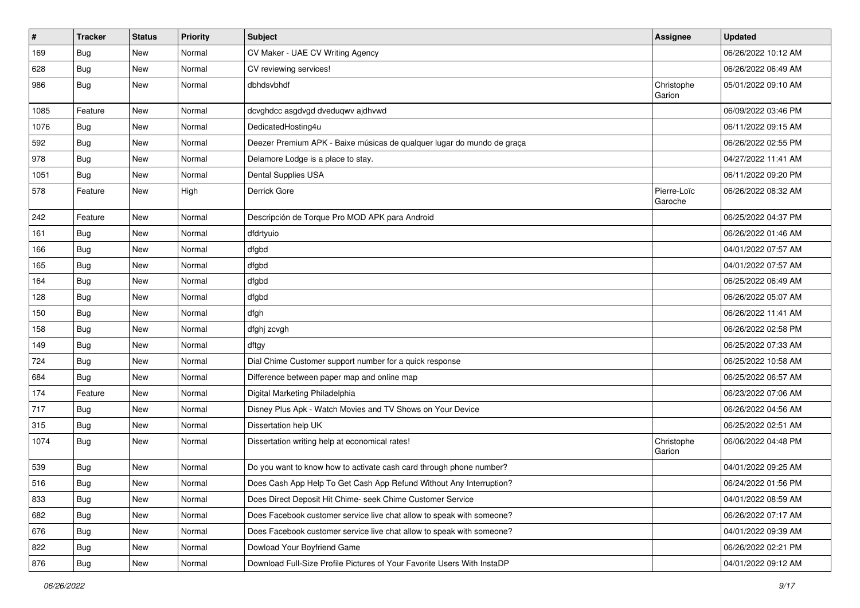| $\vert$ # | <b>Tracker</b> | <b>Status</b> | <b>Priority</b> | Subject                                                                 | <b>Assignee</b>        | <b>Updated</b>      |
|-----------|----------------|---------------|-----------------|-------------------------------------------------------------------------|------------------------|---------------------|
| 169       | <b>Bug</b>     | New           | Normal          | CV Maker - UAE CV Writing Agency                                        |                        | 06/26/2022 10:12 AM |
| 628       | Bug            | New           | Normal          | CV reviewing services!                                                  |                        | 06/26/2022 06:49 AM |
| 986       | Bug            | New           | Normal          | dbhdsvbhdf                                                              | Christophe<br>Garion   | 05/01/2022 09:10 AM |
| 1085      | Feature        | New           | Normal          | dcvghdcc asgdvgd dveduqwv ajdhvwd                                       |                        | 06/09/2022 03:46 PM |
| 1076      | Bug            | New           | Normal          | DedicatedHosting4u                                                      |                        | 06/11/2022 09:15 AM |
| 592       | <b>Bug</b>     | New           | Normal          | Deezer Premium APK - Baixe músicas de qualquer lugar do mundo de graça  |                        | 06/26/2022 02:55 PM |
| 978       | <b>Bug</b>     | New           | Normal          | Delamore Lodge is a place to stay.                                      |                        | 04/27/2022 11:41 AM |
| 1051      | <b>Bug</b>     | New           | Normal          | Dental Supplies USA                                                     |                        | 06/11/2022 09:20 PM |
| 578       | Feature        | New           | High            | Derrick Gore                                                            | Pierre-Loïc<br>Garoche | 06/26/2022 08:32 AM |
| 242       | Feature        | New           | Normal          | Descripción de Torque Pro MOD APK para Android                          |                        | 06/25/2022 04:37 PM |
| 161       | Bug            | New           | Normal          | dfdrtyuio                                                               |                        | 06/26/2022 01:46 AM |
| 166       | <b>Bug</b>     | New           | Normal          | dfgbd                                                                   |                        | 04/01/2022 07:57 AM |
| 165       | Bug            | New           | Normal          | dfgbd                                                                   |                        | 04/01/2022 07:57 AM |
| 164       | <b>Bug</b>     | New           | Normal          | dfgbd                                                                   |                        | 06/25/2022 06:49 AM |
| 128       | Bug            | New           | Normal          | dfgbd                                                                   |                        | 06/26/2022 05:07 AM |
| 150       | Bug            | New           | Normal          | dfgh                                                                    |                        | 06/26/2022 11:41 AM |
| 158       | <b>Bug</b>     | New           | Normal          | dfghj zcvgh                                                             |                        | 06/26/2022 02:58 PM |
| 149       | Bug            | New           | Normal          | dftgy                                                                   |                        | 06/25/2022 07:33 AM |
| 724       | <b>Bug</b>     | New           | Normal          | Dial Chime Customer support number for a quick response                 |                        | 06/25/2022 10:58 AM |
| 684       | <b>Bug</b>     | New           | Normal          | Difference between paper map and online map                             |                        | 06/25/2022 06:57 AM |
| 174       | Feature        | New           | Normal          | Digital Marketing Philadelphia                                          |                        | 06/23/2022 07:06 AM |
| 717       | Bug            | New           | Normal          | Disney Plus Apk - Watch Movies and TV Shows on Your Device              |                        | 06/26/2022 04:56 AM |
| 315       | <b>Bug</b>     | New           | Normal          | Dissertation help UK                                                    |                        | 06/25/2022 02:51 AM |
| 1074      | Bug            | New           | Normal          | Dissertation writing help at economical rates!                          | Christophe<br>Garion   | 06/06/2022 04:48 PM |
| 539       | <b>Bug</b>     | New           | Normal          | Do you want to know how to activate cash card through phone number?     |                        | 04/01/2022 09:25 AM |
| 516       | Bug            | New           | Normal          | Does Cash App Help To Get Cash App Refund Without Any Interruption?     |                        | 06/24/2022 01:56 PM |
| 833       | <b>Bug</b>     | New           | Normal          | Does Direct Deposit Hit Chime- seek Chime Customer Service              |                        | 04/01/2022 08:59 AM |
| 682       | <b>Bug</b>     | New           | Normal          | Does Facebook customer service live chat allow to speak with someone?   |                        | 06/26/2022 07:17 AM |
| 676       | Bug            | New           | Normal          | Does Facebook customer service live chat allow to speak with someone?   |                        | 04/01/2022 09:39 AM |
| 822       | Bug            | New           | Normal          | Dowload Your Boyfriend Game                                             |                        | 06/26/2022 02:21 PM |
| 876       | Bug            | New           | Normal          | Download Full-Size Profile Pictures of Your Favorite Users With InstaDP |                        | 04/01/2022 09:12 AM |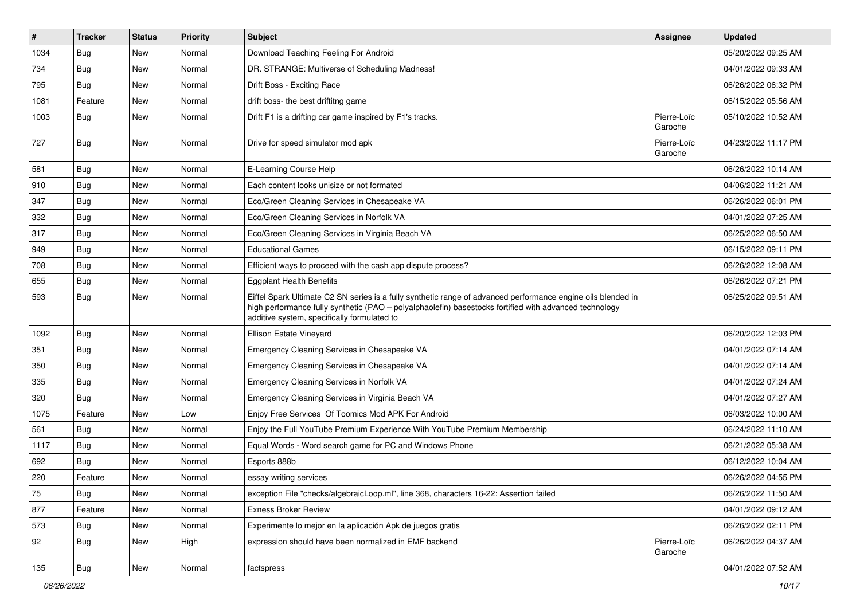| $\vert$ # | <b>Tracker</b> | <b>Status</b> | Priority | <b>Subject</b>                                                                                                                                                                                                                                                        | <b>Assignee</b>        | <b>Updated</b>      |
|-----------|----------------|---------------|----------|-----------------------------------------------------------------------------------------------------------------------------------------------------------------------------------------------------------------------------------------------------------------------|------------------------|---------------------|
| 1034      | <b>Bug</b>     | New           | Normal   | Download Teaching Feeling For Android                                                                                                                                                                                                                                 |                        | 05/20/2022 09:25 AM |
| 734       | Bug            | New           | Normal   | DR. STRANGE: Multiverse of Scheduling Madness!                                                                                                                                                                                                                        |                        | 04/01/2022 09:33 AM |
| 795       | <b>Bug</b>     | New           | Normal   | Drift Boss - Exciting Race                                                                                                                                                                                                                                            |                        | 06/26/2022 06:32 PM |
| 1081      | Feature        | New           | Normal   | drift boss- the best driftitng game                                                                                                                                                                                                                                   |                        | 06/15/2022 05:56 AM |
| 1003      | Bug            | <b>New</b>    | Normal   | Drift F1 is a drifting car game inspired by F1's tracks.                                                                                                                                                                                                              | Pierre-Loïc<br>Garoche | 05/10/2022 10:52 AM |
| 727       | <b>Bug</b>     | <b>New</b>    | Normal   | Drive for speed simulator mod apk                                                                                                                                                                                                                                     | Pierre-Loïc<br>Garoche | 04/23/2022 11:17 PM |
| 581       | <b>Bug</b>     | New           | Normal   | E-Learning Course Help                                                                                                                                                                                                                                                |                        | 06/26/2022 10:14 AM |
| 910       | Bug            | New           | Normal   | Each content looks unisize or not formated                                                                                                                                                                                                                            |                        | 04/06/2022 11:21 AM |
| 347       | <b>Bug</b>     | New           | Normal   | Eco/Green Cleaning Services in Chesapeake VA                                                                                                                                                                                                                          |                        | 06/26/2022 06:01 PM |
| 332       | <b>Bug</b>     | New           | Normal   | Eco/Green Cleaning Services in Norfolk VA                                                                                                                                                                                                                             |                        | 04/01/2022 07:25 AM |
| 317       | Bug            | <b>New</b>    | Normal   | Eco/Green Cleaning Services in Virginia Beach VA                                                                                                                                                                                                                      |                        | 06/25/2022 06:50 AM |
| 949       | Bug            | New           | Normal   | <b>Educational Games</b>                                                                                                                                                                                                                                              |                        | 06/15/2022 09:11 PM |
| 708       | Bug            | <b>New</b>    | Normal   | Efficient ways to proceed with the cash app dispute process?                                                                                                                                                                                                          |                        | 06/26/2022 12:08 AM |
| 655       | Bug            | New           | Normal   | <b>Eggplant Health Benefits</b>                                                                                                                                                                                                                                       |                        | 06/26/2022 07:21 PM |
| 593       | <b>Bug</b>     | New           | Normal   | Eiffel Spark Ultimate C2 SN series is a fully synthetic range of advanced performance engine oils blended in<br>high performance fully synthetic (PAO - polyalphaolefin) basestocks fortified with advanced technology<br>additive system, specifically formulated to |                        | 06/25/2022 09:51 AM |
| 1092      | Bug            | New           | Normal   | Ellison Estate Vineyard                                                                                                                                                                                                                                               |                        | 06/20/2022 12:03 PM |
| 351       | Bug            | <b>New</b>    | Normal   | Emergency Cleaning Services in Chesapeake VA                                                                                                                                                                                                                          |                        | 04/01/2022 07:14 AM |
| 350       | Bug            | New           | Normal   | Emergency Cleaning Services in Chesapeake VA                                                                                                                                                                                                                          |                        | 04/01/2022 07:14 AM |
| 335       | Bug            | <b>New</b>    | Normal   | Emergency Cleaning Services in Norfolk VA                                                                                                                                                                                                                             |                        | 04/01/2022 07:24 AM |
| 320       | Bug            | New           | Normal   | Emergency Cleaning Services in Virginia Beach VA                                                                                                                                                                                                                      |                        | 04/01/2022 07:27 AM |
| 1075      | Feature        | <b>New</b>    | Low      | Enjoy Free Services Of Toomics Mod APK For Android                                                                                                                                                                                                                    |                        | 06/03/2022 10:00 AM |
| 561       | Bug            | New           | Normal   | Enjoy the Full YouTube Premium Experience With YouTube Premium Membership                                                                                                                                                                                             |                        | 06/24/2022 11:10 AM |
| 1117      | <b>Bug</b>     | New           | Normal   | Equal Words - Word search game for PC and Windows Phone                                                                                                                                                                                                               |                        | 06/21/2022 05:38 AM |
| 692       | <b>Bug</b>     | New           | Normal   | Esports 888b                                                                                                                                                                                                                                                          |                        | 06/12/2022 10:04 AM |
| 220       | Feature        | New           | Normal   | essay writing services                                                                                                                                                                                                                                                |                        | 06/26/2022 04:55 PM |
| 75        | <b>Bug</b>     | New           | Normal   | exception File "checks/algebraicLoop.ml", line 368, characters 16-22: Assertion failed                                                                                                                                                                                |                        | 06/26/2022 11:50 AM |
| 877       | Feature        | New           | Normal   | <b>Exness Broker Review</b>                                                                                                                                                                                                                                           |                        | 04/01/2022 09:12 AM |
| 573       | <b>Bug</b>     | New           | Normal   | Experimente lo mejor en la aplicación Apk de juegos gratis                                                                                                                                                                                                            |                        | 06/26/2022 02:11 PM |
| 92        | <b>Bug</b>     | New           | High     | expression should have been normalized in EMF backend                                                                                                                                                                                                                 | Pierre-Loïc<br>Garoche | 06/26/2022 04:37 AM |
| 135       | <b>Bug</b>     | New           | Normal   | factspress                                                                                                                                                                                                                                                            |                        | 04/01/2022 07:52 AM |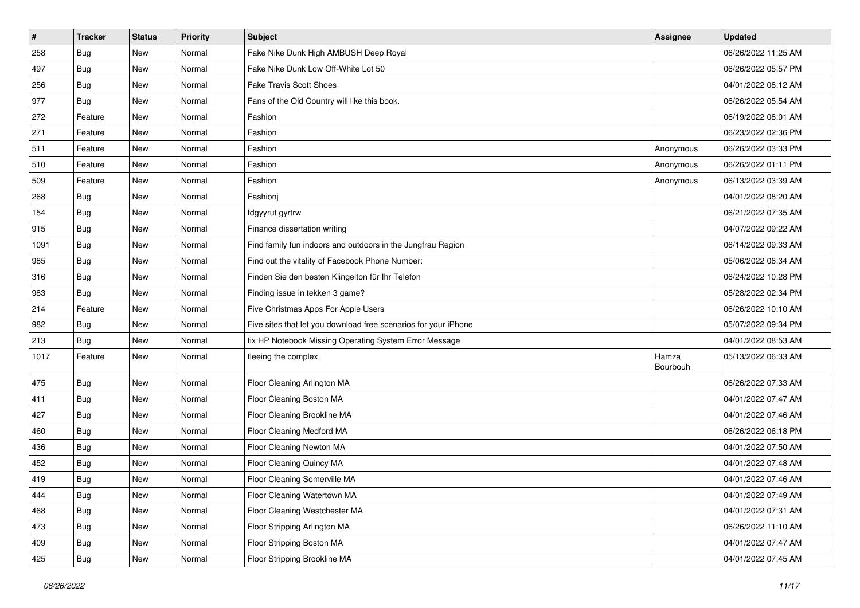| $\pmb{\#}$ | <b>Tracker</b> | <b>Status</b> | <b>Priority</b> | <b>Subject</b>                                                  | <b>Assignee</b>   | <b>Updated</b>      |
|------------|----------------|---------------|-----------------|-----------------------------------------------------------------|-------------------|---------------------|
| 258        | <b>Bug</b>     | New           | Normal          | Fake Nike Dunk High AMBUSH Deep Royal                           |                   | 06/26/2022 11:25 AM |
| 497        | Bug            | <b>New</b>    | Normal          | Fake Nike Dunk Low Off-White Lot 50                             |                   | 06/26/2022 05:57 PM |
| 256        | Bug            | New           | Normal          | <b>Fake Travis Scott Shoes</b>                                  |                   | 04/01/2022 08:12 AM |
| 977        | <b>Bug</b>     | New           | Normal          | Fans of the Old Country will like this book.                    |                   | 06/26/2022 05:54 AM |
| 272        | Feature        | <b>New</b>    | Normal          | Fashion                                                         |                   | 06/19/2022 08:01 AM |
| 271        | Feature        | New           | Normal          | Fashion                                                         |                   | 06/23/2022 02:36 PM |
| 511        | Feature        | <b>New</b>    | Normal          | Fashion                                                         | Anonymous         | 06/26/2022 03:33 PM |
| 510        | Feature        | New           | Normal          | Fashion                                                         | Anonymous         | 06/26/2022 01:11 PM |
| 509        | Feature        | New           | Normal          | Fashion                                                         | Anonymous         | 06/13/2022 03:39 AM |
| 268        | Bug            | <b>New</b>    | Normal          | Fashionj                                                        |                   | 04/01/2022 08:20 AM |
| 154        | Bug            | New           | Normal          | fdgyyrut gyrtrw                                                 |                   | 06/21/2022 07:35 AM |
| 915        | <b>Bug</b>     | New           | Normal          | Finance dissertation writing                                    |                   | 04/07/2022 09:22 AM |
| 1091       | Bug            | <b>New</b>    | Normal          | Find family fun indoors and outdoors in the Jungfrau Region     |                   | 06/14/2022 09:33 AM |
| 985        | <b>Bug</b>     | New           | Normal          | Find out the vitality of Facebook Phone Number:                 |                   | 05/06/2022 06:34 AM |
| 316        | <b>Bug</b>     | <b>New</b>    | Normal          | Finden Sie den besten Klingelton für Ihr Telefon                |                   | 06/24/2022 10:28 PM |
| 983        | Bug            | New           | Normal          | Finding issue in tekken 3 game?                                 |                   | 05/28/2022 02:34 PM |
| 214        | Feature        | <b>New</b>    | Normal          | Five Christmas Apps For Apple Users                             |                   | 06/26/2022 10:10 AM |
| 982        | Bug            | <b>New</b>    | Normal          | Five sites that let you download free scenarios for your iPhone |                   | 05/07/2022 09:34 PM |
| 213        | Bug            | New           | Normal          | fix HP Notebook Missing Operating System Error Message          |                   | 04/01/2022 08:53 AM |
| 1017       | Feature        | New           | Normal          | fleeing the complex                                             | Hamza<br>Bourbouh | 05/13/2022 06:33 AM |
| 475        | <b>Bug</b>     | New           | Normal          | Floor Cleaning Arlington MA                                     |                   | 06/26/2022 07:33 AM |
| 411        | <b>Bug</b>     | <b>New</b>    | Normal          | Floor Cleaning Boston MA                                        |                   | 04/01/2022 07:47 AM |
| 427        | <b>Bug</b>     | New           | Normal          | Floor Cleaning Brookline MA                                     |                   | 04/01/2022 07:46 AM |
| 460        | <b>Bug</b>     | New           | Normal          | Floor Cleaning Medford MA                                       |                   | 06/26/2022 06:18 PM |
| 436        | Bug            | <b>New</b>    | Normal          | Floor Cleaning Newton MA                                        |                   | 04/01/2022 07:50 AM |
| 452        | <b>Bug</b>     | New           | Normal          | Floor Cleaning Quincy MA                                        |                   | 04/01/2022 07:48 AM |
| 419        | <b>Bug</b>     | New           | Normal          | Floor Cleaning Somerville MA                                    |                   | 04/01/2022 07:46 AM |
| 444        | <b>Bug</b>     | New           | Normal          | Floor Cleaning Watertown MA                                     |                   | 04/01/2022 07:49 AM |
| 468        | Bug            | New           | Normal          | Floor Cleaning Westchester MA                                   |                   | 04/01/2022 07:31 AM |
| 473        | <b>Bug</b>     | New           | Normal          | Floor Stripping Arlington MA                                    |                   | 06/26/2022 11:10 AM |
| 409        | <b>Bug</b>     | New           | Normal          | Floor Stripping Boston MA                                       |                   | 04/01/2022 07:47 AM |
| 425        | <b>Bug</b>     | New           | Normal          | Floor Stripping Brookline MA                                    |                   | 04/01/2022 07:45 AM |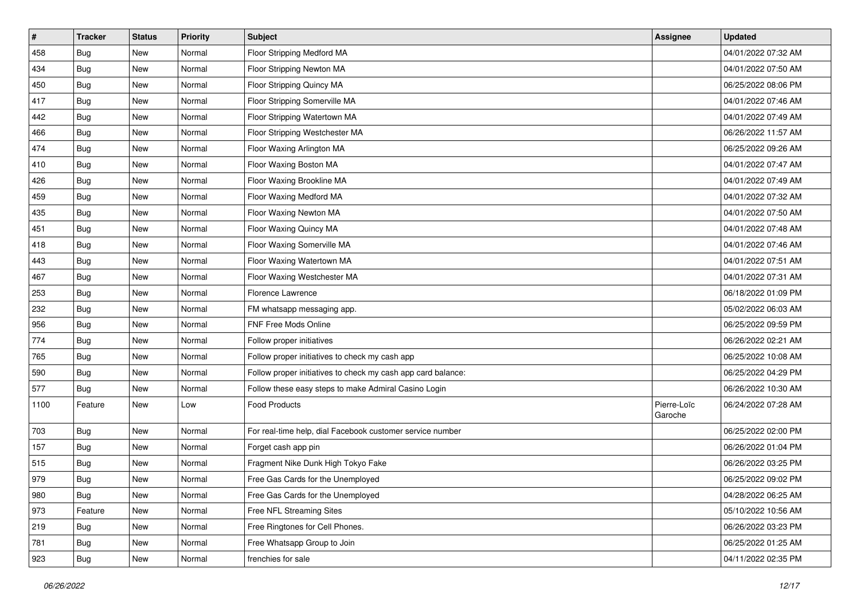| $\sharp$ | <b>Tracker</b> | <b>Status</b> | <b>Priority</b> | <b>Subject</b>                                               | <b>Assignee</b>        | <b>Updated</b>      |
|----------|----------------|---------------|-----------------|--------------------------------------------------------------|------------------------|---------------------|
| 458      | <b>Bug</b>     | New           | Normal          | Floor Stripping Medford MA                                   |                        | 04/01/2022 07:32 AM |
| 434      | <b>Bug</b>     | New           | Normal          | Floor Stripping Newton MA                                    |                        | 04/01/2022 07:50 AM |
| 450      | Bug            | New           | Normal          | Floor Stripping Quincy MA                                    |                        | 06/25/2022 08:06 PM |
| 417      | <b>Bug</b>     | New           | Normal          | Floor Stripping Somerville MA                                |                        | 04/01/2022 07:46 AM |
| 442      | Bug            | New           | Normal          | Floor Stripping Watertown MA                                 |                        | 04/01/2022 07:49 AM |
| 466      | <b>Bug</b>     | New           | Normal          | Floor Stripping Westchester MA                               |                        | 06/26/2022 11:57 AM |
| 474      | Bug            | New           | Normal          | Floor Waxing Arlington MA                                    |                        | 06/25/2022 09:26 AM |
| 410      | <b>Bug</b>     | New           | Normal          | Floor Waxing Boston MA                                       |                        | 04/01/2022 07:47 AM |
| 426      | Bug            | New           | Normal          | Floor Waxing Brookline MA                                    |                        | 04/01/2022 07:49 AM |
| 459      | Bug            | New           | Normal          | Floor Waxing Medford MA                                      |                        | 04/01/2022 07:32 AM |
| 435      | <b>Bug</b>     | New           | Normal          | Floor Waxing Newton MA                                       |                        | 04/01/2022 07:50 AM |
| 451      | Bug            | New           | Normal          | Floor Waxing Quincy MA                                       |                        | 04/01/2022 07:48 AM |
| 418      | Bug            | New           | Normal          | Floor Waxing Somerville MA                                   |                        | 04/01/2022 07:46 AM |
| 443      | Bug            | New           | Normal          | Floor Waxing Watertown MA                                    |                        | 04/01/2022 07:51 AM |
| 467      | Bug            | New           | Normal          | Floor Waxing Westchester MA                                  |                        | 04/01/2022 07:31 AM |
| 253      | Bug            | New           | Normal          | Florence Lawrence                                            |                        | 06/18/2022 01:09 PM |
| 232      | <b>Bug</b>     | New           | Normal          | FM whatsapp messaging app.                                   |                        | 05/02/2022 06:03 AM |
| 956      | Bug            | New           | Normal          | FNF Free Mods Online                                         |                        | 06/25/2022 09:59 PM |
| 774      | Bug            | New           | Normal          | Follow proper initiatives                                    |                        | 06/26/2022 02:21 AM |
| 765      | Bug            | New           | Normal          | Follow proper initiatives to check my cash app               |                        | 06/25/2022 10:08 AM |
| 590      | <b>Bug</b>     | New           | Normal          | Follow proper initiatives to check my cash app card balance: |                        | 06/25/2022 04:29 PM |
| 577      | Bug            | New           | Normal          | Follow these easy steps to make Admiral Casino Login         |                        | 06/26/2022 10:30 AM |
| 1100     | Feature        | New           | Low             | <b>Food Products</b>                                         | Pierre-Loïc<br>Garoche | 06/24/2022 07:28 AM |
| 703      | Bug            | New           | Normal          | For real-time help, dial Facebook customer service number    |                        | 06/25/2022 02:00 PM |
| 157      | <b>Bug</b>     | New           | Normal          | Forget cash app pin                                          |                        | 06/26/2022 01:04 PM |
| 515      | Bug            | New           | Normal          | Fragment Nike Dunk High Tokyo Fake                           |                        | 06/26/2022 03:25 PM |
| 979      | <b>Bug</b>     | New           | Normal          | Free Gas Cards for the Unemployed                            |                        | 06/25/2022 09:02 PM |
| 980      | Bug            | New           | Normal          | Free Gas Cards for the Unemployed                            |                        | 04/28/2022 06:25 AM |
| 973      | Feature        | New           | Normal          | Free NFL Streaming Sites                                     |                        | 05/10/2022 10:56 AM |
| 219      | Bug            | New           | Normal          | Free Ringtones for Cell Phones.                              |                        | 06/26/2022 03:23 PM |
| 781      | <b>Bug</b>     | New           | Normal          | Free Whatsapp Group to Join                                  |                        | 06/25/2022 01:25 AM |
| 923      | <b>Bug</b>     | New           | Normal          | frenchies for sale                                           |                        | 04/11/2022 02:35 PM |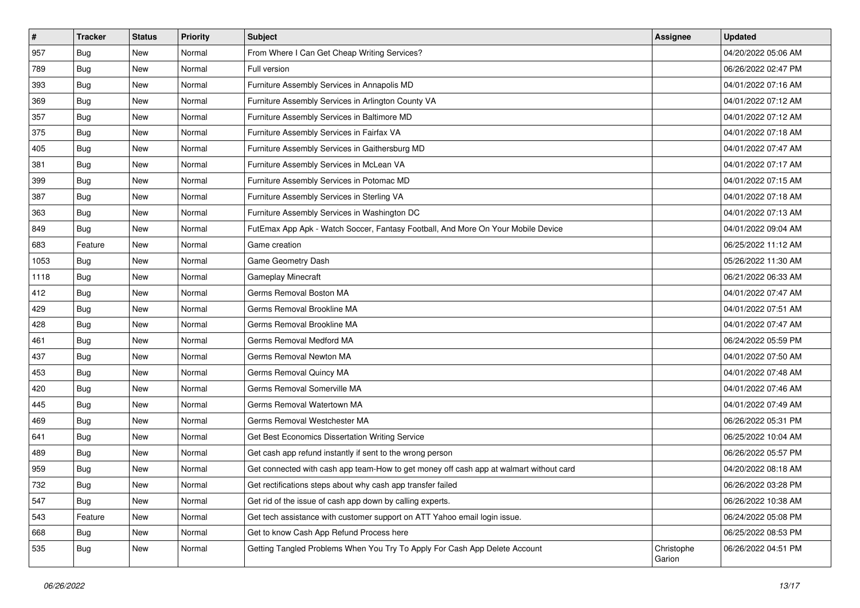| #    | <b>Tracker</b> | <b>Status</b> | <b>Priority</b> | Subject                                                                                | <b>Assignee</b>      | <b>Updated</b>      |
|------|----------------|---------------|-----------------|----------------------------------------------------------------------------------------|----------------------|---------------------|
| 957  | Bug            | New           | Normal          | From Where I Can Get Cheap Writing Services?                                           |                      | 04/20/2022 05:06 AM |
| 789  | <b>Bug</b>     | New           | Normal          | Full version                                                                           |                      | 06/26/2022 02:47 PM |
| 393  | <b>Bug</b>     | New           | Normal          | Furniture Assembly Services in Annapolis MD                                            |                      | 04/01/2022 07:16 AM |
| 369  | <b>Bug</b>     | New           | Normal          | Furniture Assembly Services in Arlington County VA                                     |                      | 04/01/2022 07:12 AM |
| 357  | <b>Bug</b>     | New           | Normal          | Furniture Assembly Services in Baltimore MD                                            |                      | 04/01/2022 07:12 AM |
| 375  | <b>Bug</b>     | New           | Normal          | Furniture Assembly Services in Fairfax VA                                              |                      | 04/01/2022 07:18 AM |
| 405  | <b>Bug</b>     | New           | Normal          | Furniture Assembly Services in Gaithersburg MD                                         |                      | 04/01/2022 07:47 AM |
| 381  | <b>Bug</b>     | New           | Normal          | Furniture Assembly Services in McLean VA                                               |                      | 04/01/2022 07:17 AM |
| 399  | Bug            | New           | Normal          | Furniture Assembly Services in Potomac MD                                              |                      | 04/01/2022 07:15 AM |
| 387  | Bug            | New           | Normal          | Furniture Assembly Services in Sterling VA                                             |                      | 04/01/2022 07:18 AM |
| 363  | <b>Bug</b>     | New           | Normal          | Furniture Assembly Services in Washington DC                                           |                      | 04/01/2022 07:13 AM |
| 849  | <b>Bug</b>     | New           | Normal          | FutEmax App Apk - Watch Soccer, Fantasy Football, And More On Your Mobile Device       |                      | 04/01/2022 09:04 AM |
| 683  | Feature        | New           | Normal          | Game creation                                                                          |                      | 06/25/2022 11:12 AM |
| 1053 | Bug            | New           | Normal          | Game Geometry Dash                                                                     |                      | 05/26/2022 11:30 AM |
| 1118 | Bug            | New           | Normal          | Gameplay Minecraft                                                                     |                      | 06/21/2022 06:33 AM |
| 412  | <b>Bug</b>     | New           | Normal          | Germs Removal Boston MA                                                                |                      | 04/01/2022 07:47 AM |
| 429  | Bug            | New           | Normal          | Germs Removal Brookline MA                                                             |                      | 04/01/2022 07:51 AM |
| 428  | Bug            | New           | Normal          | Germs Removal Brookline MA                                                             |                      | 04/01/2022 07:47 AM |
| 461  | Bug            | New           | Normal          | Germs Removal Medford MA                                                               |                      | 06/24/2022 05:59 PM |
| 437  | <b>Bug</b>     | New           | Normal          | Germs Removal Newton MA                                                                |                      | 04/01/2022 07:50 AM |
| 453  | Bug            | New           | Normal          | Germs Removal Quincy MA                                                                |                      | 04/01/2022 07:48 AM |
| 420  | Bug            | New           | Normal          | Germs Removal Somerville MA                                                            |                      | 04/01/2022 07:46 AM |
| 445  | Bug            | New           | Normal          | Germs Removal Watertown MA                                                             |                      | 04/01/2022 07:49 AM |
| 469  | <b>Bug</b>     | New           | Normal          | Germs Removal Westchester MA                                                           |                      | 06/26/2022 05:31 PM |
| 641  | <b>Bug</b>     | New           | Normal          | Get Best Economics Dissertation Writing Service                                        |                      | 06/25/2022 10:04 AM |
| 489  | <b>Bug</b>     | New           | Normal          | Get cash app refund instantly if sent to the wrong person                              |                      | 06/26/2022 05:57 PM |
| 959  | <b>Bug</b>     | New           | Normal          | Get connected with cash app team-How to get money off cash app at walmart without card |                      | 04/20/2022 08:18 AM |
| 732  | Bug            | New           | Normal          | Get rectifications steps about why cash app transfer failed                            |                      | 06/26/2022 03:28 PM |
| 547  | Bug            | New           | Normal          | Get rid of the issue of cash app down by calling experts.                              |                      | 06/26/2022 10:38 AM |
| 543  | Feature        | New           | Normal          | Get tech assistance with customer support on ATT Yahoo email login issue.              |                      | 06/24/2022 05:08 PM |
| 668  | <b>Bug</b>     | New           | Normal          | Get to know Cash App Refund Process here                                               |                      | 06/25/2022 08:53 PM |
| 535  | <b>Bug</b>     | New           | Normal          | Getting Tangled Problems When You Try To Apply For Cash App Delete Account             | Christophe<br>Garion | 06/26/2022 04:51 PM |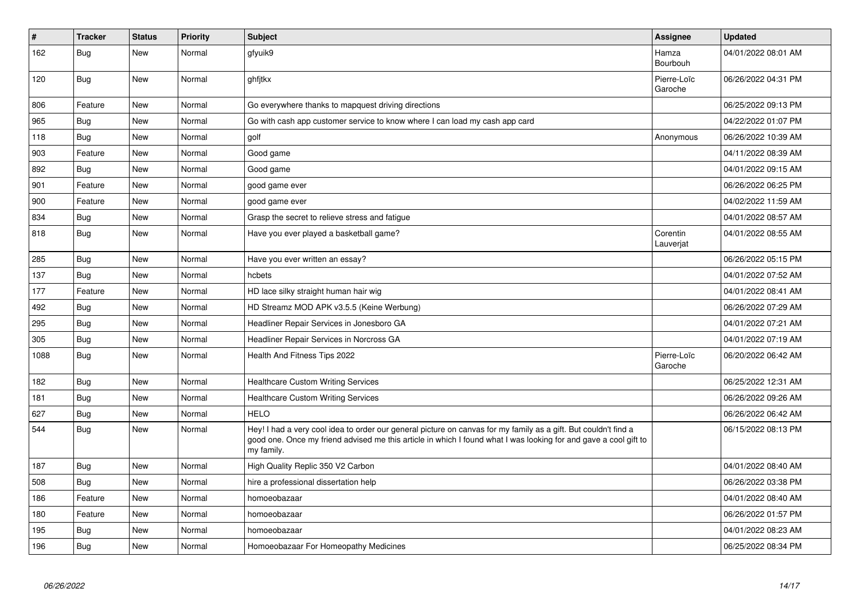| $\vert$ # | <b>Tracker</b> | <b>Status</b> | <b>Priority</b> | <b>Subject</b>                                                                                                                                                                                                                                    | Assignee               | <b>Updated</b>      |
|-----------|----------------|---------------|-----------------|---------------------------------------------------------------------------------------------------------------------------------------------------------------------------------------------------------------------------------------------------|------------------------|---------------------|
| 162       | <b>Bug</b>     | <b>New</b>    | Normal          | gfyuik9                                                                                                                                                                                                                                           | Hamza<br>Bourbouh      | 04/01/2022 08:01 AM |
| 120       | <b>Bug</b>     | New           | Normal          | ghfjtkx                                                                                                                                                                                                                                           | Pierre-Loïc<br>Garoche | 06/26/2022 04:31 PM |
| 806       | Feature        | New           | Normal          | Go everywhere thanks to mapquest driving directions                                                                                                                                                                                               |                        | 06/25/2022 09:13 PM |
| 965       | <b>Bug</b>     | New           | Normal          | Go with cash app customer service to know where I can load my cash app card                                                                                                                                                                       |                        | 04/22/2022 01:07 PM |
| 118       | <b>Bug</b>     | New           | Normal          | golf                                                                                                                                                                                                                                              | Anonymous              | 06/26/2022 10:39 AM |
| 903       | Feature        | New           | Normal          | Good game                                                                                                                                                                                                                                         |                        | 04/11/2022 08:39 AM |
| 892       | <b>Bug</b>     | <b>New</b>    | Normal          | Good game                                                                                                                                                                                                                                         |                        | 04/01/2022 09:15 AM |
| 901       | Feature        | New           | Normal          | good game ever                                                                                                                                                                                                                                    |                        | 06/26/2022 06:25 PM |
| 900       | Feature        | New           | Normal          | good game ever                                                                                                                                                                                                                                    |                        | 04/02/2022 11:59 AM |
| 834       | <b>Bug</b>     | New           | Normal          | Grasp the secret to relieve stress and fatigue                                                                                                                                                                                                    |                        | 04/01/2022 08:57 AM |
| 818       | Bug            | New           | Normal          | Have you ever played a basketball game?                                                                                                                                                                                                           | Corentin<br>Lauverjat  | 04/01/2022 08:55 AM |
| 285       | Bug            | <b>New</b>    | Normal          | Have you ever written an essay?                                                                                                                                                                                                                   |                        | 06/26/2022 05:15 PM |
| 137       | <b>Bug</b>     | New           | Normal          | hcbets                                                                                                                                                                                                                                            |                        | 04/01/2022 07:52 AM |
| 177       | Feature        | New           | Normal          | HD lace silky straight human hair wig                                                                                                                                                                                                             |                        | 04/01/2022 08:41 AM |
| 492       | <b>Bug</b>     | <b>New</b>    | Normal          | HD Streamz MOD APK v3.5.5 (Keine Werbung)                                                                                                                                                                                                         |                        | 06/26/2022 07:29 AM |
| 295       | Bug            | New           | Normal          | Headliner Repair Services in Jonesboro GA                                                                                                                                                                                                         |                        | 04/01/2022 07:21 AM |
| 305       | <b>Bug</b>     | New           | Normal          | Headliner Repair Services in Norcross GA                                                                                                                                                                                                          |                        | 04/01/2022 07:19 AM |
| 1088      | Bug            | New           | Normal          | Health And Fitness Tips 2022                                                                                                                                                                                                                      | Pierre-Loïc<br>Garoche | 06/20/2022 06:42 AM |
| 182       | <b>Bug</b>     | New           | Normal          | Healthcare Custom Writing Services                                                                                                                                                                                                                |                        | 06/25/2022 12:31 AM |
| 181       | Bug            | New           | Normal          | <b>Healthcare Custom Writing Services</b>                                                                                                                                                                                                         |                        | 06/26/2022 09:26 AM |
| 627       | Bug            | New           | Normal          | <b>HELO</b>                                                                                                                                                                                                                                       |                        | 06/26/2022 06:42 AM |
| 544       | Bug            | New           | Normal          | Hey! I had a very cool idea to order our general picture on canvas for my family as a gift. But couldn't find a<br>good one. Once my friend advised me this article in which I found what I was looking for and gave a cool gift to<br>my family. |                        | 06/15/2022 08:13 PM |
| 187       | Bug            | New           | Normal          | High Quality Replic 350 V2 Carbon                                                                                                                                                                                                                 |                        | 04/01/2022 08:40 AM |
| 508       | Bug            | New           | Normal          | hire a professional dissertation help                                                                                                                                                                                                             |                        | 06/26/2022 03:38 PM |
| 186       | Feature        | New           | Normal          | homoeobazaar                                                                                                                                                                                                                                      |                        | 04/01/2022 08:40 AM |
| 180       | Feature        | New           | Normal          | homoeobazaar                                                                                                                                                                                                                                      |                        | 06/26/2022 01:57 PM |
| 195       | <b>Bug</b>     | New           | Normal          | homoeobazaar                                                                                                                                                                                                                                      |                        | 04/01/2022 08:23 AM |
| 196       | <b>Bug</b>     | <b>New</b>    | Normal          | Homoeobazaar For Homeopathy Medicines                                                                                                                                                                                                             |                        | 06/25/2022 08:34 PM |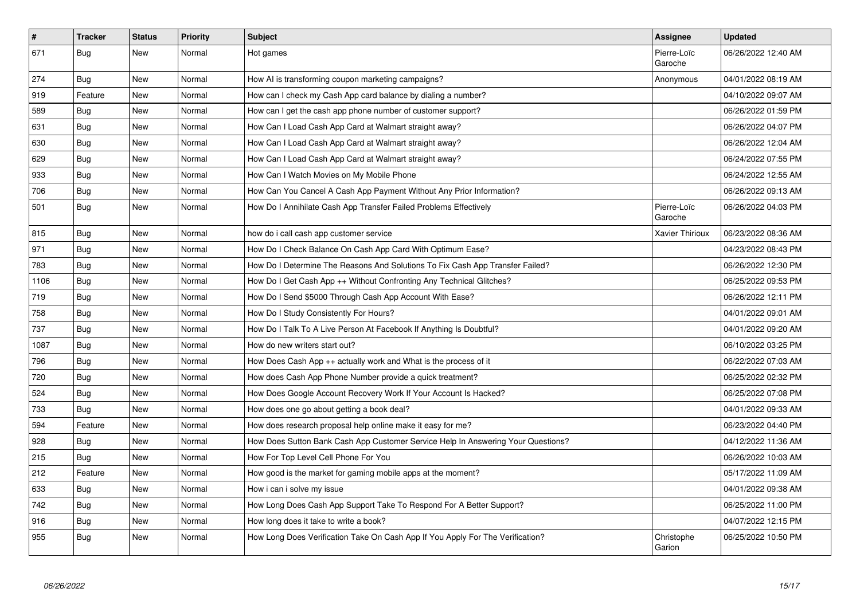| $\vert$ # | <b>Tracker</b> | <b>Status</b> | <b>Priority</b> | <b>Subject</b>                                                                   | <b>Assignee</b>        | <b>Updated</b>      |
|-----------|----------------|---------------|-----------------|----------------------------------------------------------------------------------|------------------------|---------------------|
| 671       | <b>Bug</b>     | New           | Normal          | Hot games                                                                        | Pierre-Loïc<br>Garoche | 06/26/2022 12:40 AM |
| 274       | Bug            | <b>New</b>    | Normal          | How AI is transforming coupon marketing campaigns?                               | Anonymous              | 04/01/2022 08:19 AM |
| 919       | Feature        | New           | Normal          | How can I check my Cash App card balance by dialing a number?                    |                        | 04/10/2022 09:07 AM |
| 589       | <b>Bug</b>     | <b>New</b>    | Normal          | How can I get the cash app phone number of customer support?                     |                        | 06/26/2022 01:59 PM |
| 631       | Bug            | <b>New</b>    | Normal          | How Can I Load Cash App Card at Walmart straight away?                           |                        | 06/26/2022 04:07 PM |
| 630       | Bug            | <b>New</b>    | Normal          | How Can I Load Cash App Card at Walmart straight away?                           |                        | 06/26/2022 12:04 AM |
| 629       | <b>Bug</b>     | <b>New</b>    | Normal          | How Can I Load Cash App Card at Walmart straight away?                           |                        | 06/24/2022 07:55 PM |
| 933       | <b>Bug</b>     | New           | Normal          | How Can I Watch Movies on My Mobile Phone                                        |                        | 06/24/2022 12:55 AM |
| 706       | Bug            | New           | Normal          | How Can You Cancel A Cash App Payment Without Any Prior Information?             |                        | 06/26/2022 09:13 AM |
| 501       | Bug            | <b>New</b>    | Normal          | How Do I Annihilate Cash App Transfer Failed Problems Effectively                | Pierre-Loïc<br>Garoche | 06/26/2022 04:03 PM |
| 815       | Bug            | New           | Normal          | how do i call cash app customer service                                          | Xavier Thirioux        | 06/23/2022 08:36 AM |
| 971       | <b>Bug</b>     | New           | Normal          | How Do I Check Balance On Cash App Card With Optimum Ease?                       |                        | 04/23/2022 08:43 PM |
| 783       | Bug            | <b>New</b>    | Normal          | How Do I Determine The Reasons And Solutions To Fix Cash App Transfer Failed?    |                        | 06/26/2022 12:30 PM |
| 1106      | Bug            | New           | Normal          | How Do I Get Cash App ++ Without Confronting Any Technical Glitches?             |                        | 06/25/2022 09:53 PM |
| 719       | <b>Bug</b>     | New           | Normal          | How Do I Send \$5000 Through Cash App Account With Ease?                         |                        | 06/26/2022 12:11 PM |
| 758       | Bug            | <b>New</b>    | Normal          | How Do I Study Consistently For Hours?                                           |                        | 04/01/2022 09:01 AM |
| 737       | <b>Bug</b>     | New           | Normal          | How Do I Talk To A Live Person At Facebook If Anything Is Doubtful?              |                        | 04/01/2022 09:20 AM |
| 1087      | Bug            | New           | Normal          | How do new writers start out?                                                    |                        | 06/10/2022 03:25 PM |
| 796       | Bug            | New           | Normal          | How Does Cash App ++ actually work and What is the process of it                 |                        | 06/22/2022 07:03 AM |
| 720       | <b>Bug</b>     | New           | Normal          | How does Cash App Phone Number provide a quick treatment?                        |                        | 06/25/2022 02:32 PM |
| 524       | <b>Bug</b>     | <b>New</b>    | Normal          | How Does Google Account Recovery Work If Your Account Is Hacked?                 |                        | 06/25/2022 07:08 PM |
| 733       | Bug            | <b>New</b>    | Normal          | How does one go about getting a book deal?                                       |                        | 04/01/2022 09:33 AM |
| 594       | Feature        | New           | Normal          | How does research proposal help online make it easy for me?                      |                        | 06/23/2022 04:40 PM |
| 928       | Bug            | New           | Normal          | How Does Sutton Bank Cash App Customer Service Help In Answering Your Questions? |                        | 04/12/2022 11:36 AM |
| 215       | <b>Bug</b>     | <b>New</b>    | Normal          | How For Top Level Cell Phone For You                                             |                        | 06/26/2022 10:03 AM |
| 212       | Feature        | <b>New</b>    | Normal          | How good is the market for gaming mobile apps at the moment?                     |                        | 05/17/2022 11:09 AM |
| 633       | <b>Bug</b>     | New           | Normal          | How i can i solve my issue                                                       |                        | 04/01/2022 09:38 AM |
| 742       | Bug            | New           | Normal          | How Long Does Cash App Support Take To Respond For A Better Support?             |                        | 06/25/2022 11:00 PM |
| 916       | Bug            | New           | Normal          | How long does it take to write a book?                                           |                        | 04/07/2022 12:15 PM |
| 955       | Bug            | New           | Normal          | How Long Does Verification Take On Cash App If You Apply For The Verification?   | Christophe<br>Garion   | 06/25/2022 10:50 PM |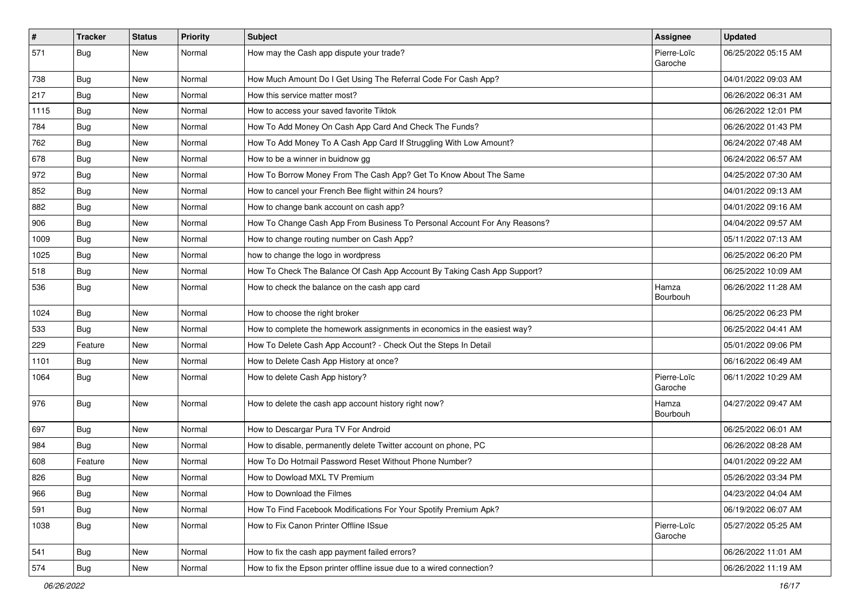| $\vert$ # | Tracker    | <b>Status</b> | <b>Priority</b> | <b>Subject</b>                                                            | <b>Assignee</b>        | <b>Updated</b>      |
|-----------|------------|---------------|-----------------|---------------------------------------------------------------------------|------------------------|---------------------|
| 571       | <b>Bug</b> | New           | Normal          | How may the Cash app dispute your trade?                                  | Pierre-Loïc<br>Garoche | 06/25/2022 05:15 AM |
| 738       | Bug        | New           | Normal          | How Much Amount Do I Get Using The Referral Code For Cash App?            |                        | 04/01/2022 09:03 AM |
| 217       | <b>Bug</b> | New           | Normal          | How this service matter most?                                             |                        | 06/26/2022 06:31 AM |
| 1115      | Bug        | <b>New</b>    | Normal          | How to access your saved favorite Tiktok                                  |                        | 06/26/2022 12:01 PM |
| 784       | <b>Bug</b> | New           | Normal          | How To Add Money On Cash App Card And Check The Funds?                    |                        | 06/26/2022 01:43 PM |
| 762       | <b>Bug</b> | <b>New</b>    | Normal          | How To Add Money To A Cash App Card If Struggling With Low Amount?        |                        | 06/24/2022 07:48 AM |
| 678       | Bug        | New           | Normal          | How to be a winner in buidnow gg                                          |                        | 06/24/2022 06:57 AM |
| 972       | <b>Bug</b> | New           | Normal          | How To Borrow Money From The Cash App? Get To Know About The Same         |                        | 04/25/2022 07:30 AM |
| 852       | <b>Bug</b> | <b>New</b>    | Normal          | How to cancel your French Bee flight within 24 hours?                     |                        | 04/01/2022 09:13 AM |
| 882       | <b>Bug</b> | New           | Normal          | How to change bank account on cash app?                                   |                        | 04/01/2022 09:16 AM |
| 906       | Bug        | New           | Normal          | How To Change Cash App From Business To Personal Account For Any Reasons? |                        | 04/04/2022 09:57 AM |
| 1009      | Bug        | New           | Normal          | How to change routing number on Cash App?                                 |                        | 05/11/2022 07:13 AM |
| 1025      | <b>Bug</b> | <b>New</b>    | Normal          | how to change the logo in wordpress                                       |                        | 06/25/2022 06:20 PM |
| 518       | Bug        | New           | Normal          | How To Check The Balance Of Cash App Account By Taking Cash App Support?  |                        | 06/25/2022 10:09 AM |
| 536       | <b>Bug</b> | New           | Normal          | How to check the balance on the cash app card                             | Hamza<br>Bourbouh      | 06/26/2022 11:28 AM |
| 1024      | Bug        | <b>New</b>    | Normal          | How to choose the right broker                                            |                        | 06/25/2022 06:23 PM |
| 533       | Bug        | New           | Normal          | How to complete the homework assignments in economics in the easiest way? |                        | 06/25/2022 04:41 AM |
| 229       | Feature    | New           | Normal          | How To Delete Cash App Account? - Check Out the Steps In Detail           |                        | 05/01/2022 09:06 PM |
| 1101      | <b>Bug</b> | New           | Normal          | How to Delete Cash App History at once?                                   |                        | 06/16/2022 06:49 AM |
| 1064      | <b>Bug</b> | New           | Normal          | How to delete Cash App history?                                           | Pierre-Loïc<br>Garoche | 06/11/2022 10:29 AM |
| 976       | Bug        | New           | Normal          | How to delete the cash app account history right now?                     | Hamza<br>Bourbouh      | 04/27/2022 09:47 AM |
| 697       | Bug        | <b>New</b>    | Normal          | How to Descargar Pura TV For Android                                      |                        | 06/25/2022 06:01 AM |
| 984       | <b>Bug</b> | New           | Normal          | How to disable, permanently delete Twitter account on phone, PC           |                        | 06/26/2022 08:28 AM |
| 608       | Feature    | New           | Normal          | How To Do Hotmail Password Reset Without Phone Number?                    |                        | 04/01/2022 09:22 AM |
| 826       | <b>Bug</b> | New           | Normal          | How to Dowload MXL TV Premium                                             |                        | 05/26/2022 03:34 PM |
| 966       | <b>Bug</b> | New           | Normal          | How to Download the Filmes                                                |                        | 04/23/2022 04:04 AM |
| 591       | Bug        | New           | Normal          | How To Find Facebook Modifications For Your Spotify Premium Apk?          |                        | 06/19/2022 06:07 AM |
| 1038      | Bug        | New           | Normal          | How to Fix Canon Printer Offline ISsue                                    | Pierre-Loïc<br>Garoche | 05/27/2022 05:25 AM |
| 541       | Bug        | New           | Normal          | How to fix the cash app payment failed errors?                            |                        | 06/26/2022 11:01 AM |
| 574       | <b>Bug</b> | New           | Normal          | How to fix the Epson printer offline issue due to a wired connection?     |                        | 06/26/2022 11:19 AM |